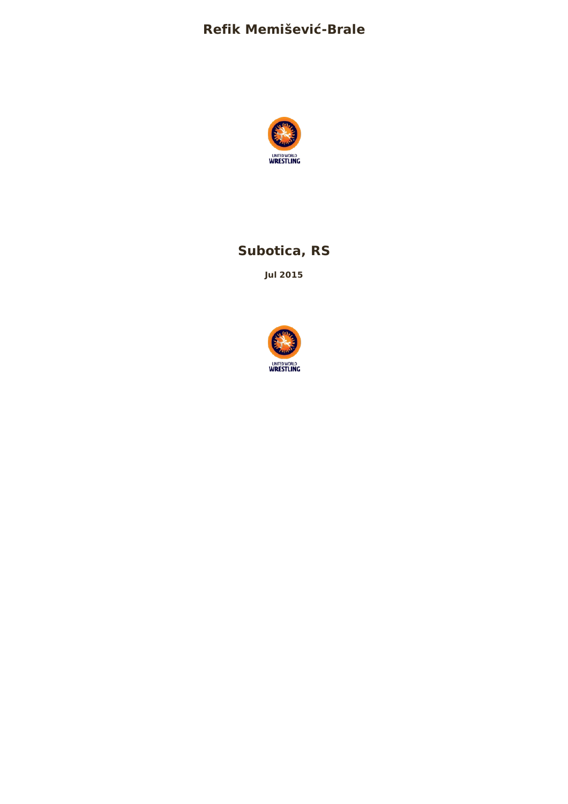# **Refik Memišević-Brale**



# **Subotica, RS**

**Jul 2015**

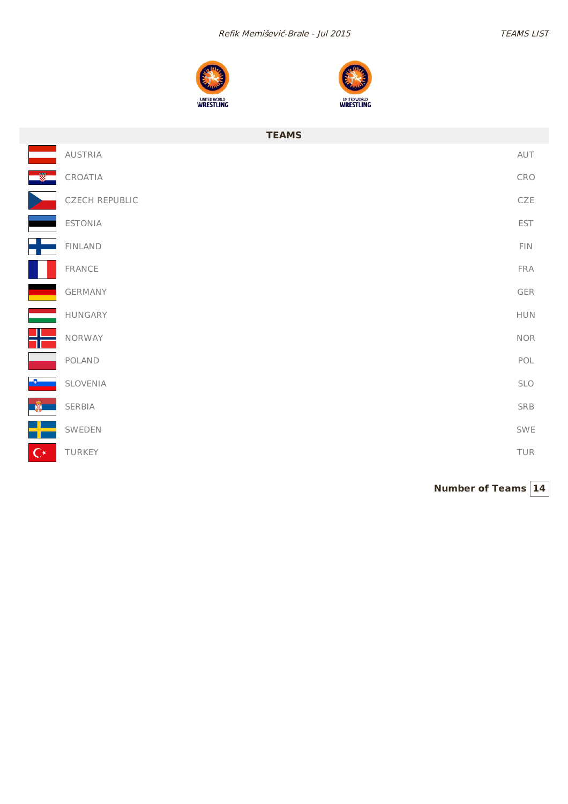



|                | <b>TEAMS</b>          |             |
|----------------|-----------------------|-------------|
|                | <b>AUSTRIA</b>        | AUT         |
|                | CROATIA               | CRO         |
|                | <b>CZECH REPUBLIC</b> | CZE         |
|                | <b>ESTONIA</b>        | EST         |
|                | <b>FINLAND</b>        | FIN         |
|                | FRANCE                | FRA         |
|                | GERMANY               | ${\sf GER}$ |
|                | HUNGARY               | ${\sf HUN}$ |
|                | NORWAY                | $\sf{NOR}$  |
|                | POLAND                | POL         |
| -8             | SLOVENIA              | SLO         |
| $\mathbb{R}$   | SERBIA                | SRB         |
|                | SWEDEN                | SWE         |
| $\mathbb{C}^*$ | TURKEY                | TUR         |

**Number of Teams 14**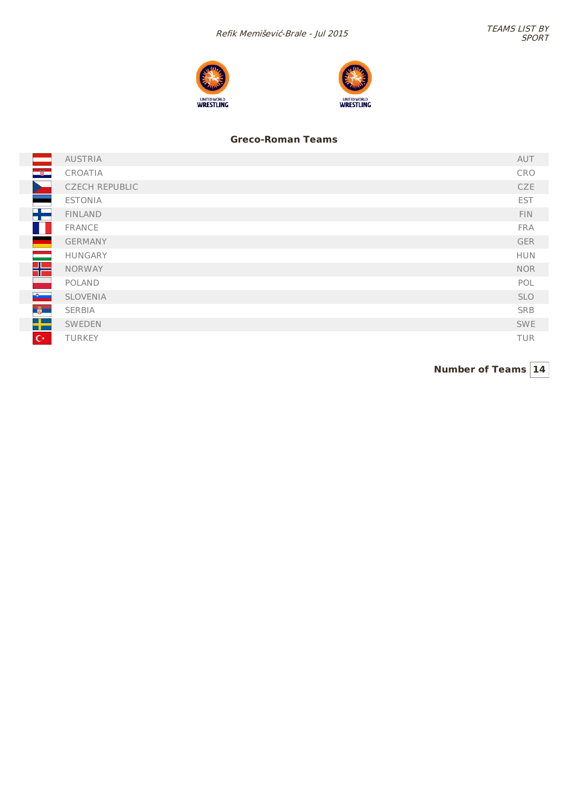



### **Greco-Roman Teams**

|                                                                                                                                                                                                                                  | <b>AUSTRIA</b>        | AUT        |
|----------------------------------------------------------------------------------------------------------------------------------------------------------------------------------------------------------------------------------|-----------------------|------------|
| $\frac{1}{2}$                                                                                                                                                                                                                    | CROATIA               | CRO        |
|                                                                                                                                                                                                                                  | <b>CZECH REPUBLIC</b> | <b>CZE</b> |
|                                                                                                                                                                                                                                  | <b>ESTONIA</b>        | <b>EST</b> |
| Æ                                                                                                                                                                                                                                | <b>FINLAND</b>        | FIN.       |
|                                                                                                                                                                                                                                  | <b>FRANCE</b>         | <b>FRA</b> |
|                                                                                                                                                                                                                                  | <b>GERMANY</b>        | <b>GER</b> |
| e en la partir de la partir de la partir de la partir de la partir de la partir de la partir de la partir de l<br>La partir de la partir de la partir de la partir de la partir de la partir de la partir de la partir de la par | <b>HUNGARY</b>        | <b>HUN</b> |
| ╬                                                                                                                                                                                                                                | <b>NORWAY</b>         | <b>NOR</b> |
|                                                                                                                                                                                                                                  | POLAND                | POL        |
| <b>Burney</b>                                                                                                                                                                                                                    | <b>SLOVENIA</b>       | <b>SLO</b> |
| $\frac{a}{2}$                                                                                                                                                                                                                    | SERBIA                | <b>SRB</b> |
| $\rightarrow$                                                                                                                                                                                                                    | SWEDEN                | <b>SWE</b> |
| $C^*$                                                                                                                                                                                                                            | <b>TURKEY</b>         | <b>TUR</b> |

**Number of Teams 14**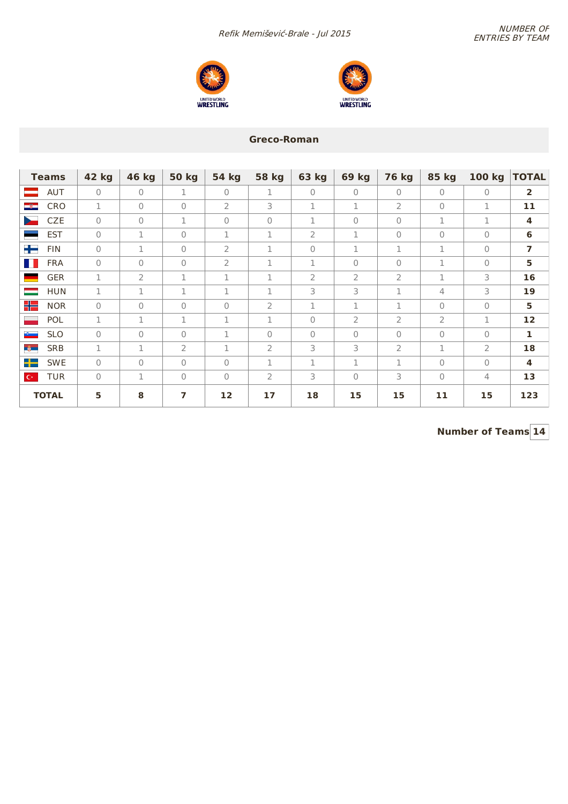Refik Memišević-Brale - Jul 2015<br>ENTRIES BY TEAM





### **Greco-Roman**

| <b>Teams</b>                            | 42 kg    | 46 kg          | <b>50 kg</b> | <b>54 kg</b>   | <b>58 kg</b>   | <b>63 kg</b>   | <b>69 kg</b>   | <b>76 kg</b>   | <b>85 kg</b>   | 100 kg       | <b>TOTAL</b>            |
|-----------------------------------------|----------|----------------|--------------|----------------|----------------|----------------|----------------|----------------|----------------|--------------|-------------------------|
| <b>AUT</b><br>-                         | $\Omega$ | $\mathbf{0}$   | 1            | $\mathbf{0}$   | 1              | $\mathbf{0}$   | $\Omega$       | $\bigcap$      | $\bigcap$      | $\Omega$     | $\overline{2}$          |
| $-8-$<br>CRO                            | 1        | $\Omega$       | $\Omega$     | $\overline{2}$ | 3              | 1              | $\mathbf 1$    | $\overline{2}$ | $\bigcap$      | 1            | 11                      |
| <b>CZE</b><br>$\blacktriangleright$     | $\Omega$ | $\Omega$       | 1            | $\Omega$       | $\Omega$       | 1              | $\bigcap$      | $\Omega$       | 1              | 1            | $\overline{\mathbf{4}}$ |
| <b>EST</b>                              | $\Omega$ | 1              | $\Omega$     | 1              | 1              | $\overline{2}$ | 1              | $\Omega$       | $\bigcap$      | $\Omega$     | 6                       |
| ╈<br><b>FIN</b>                         | $\Omega$ | 1              | $\Omega$     | $\overline{2}$ | $\mathbf 1$    | $\Omega$       | 1              | 1              | $\mathbf 1$    | $\Omega$     | $\overline{ }$          |
| H.<br><b>FRA</b>                        | 0        | $\mathbf{0}$   | $\Omega$     | 2              | 1              | 1              | $\Omega$       | $\mathbf{0}$   | 1              | $\mathbf{0}$ | $5\phantom{a}$          |
| <b>GER</b>                              | 1        | $\overline{2}$ | 1            | $\mathbf{1}$   | $\mathbf 1$    | $\overline{2}$ | $\overline{2}$ | $\overline{2}$ | 1              | 3            | 16                      |
| <b>HUN</b><br>$\equiv$                  | 1        | 1              | 1            | 1              | 1              | 3              | 3              | 1              | 4              | 3            | 19                      |
| 뷔드<br><b>NOR</b>                        | $\Omega$ | $\Omega$       | $\Omega$     | $\Omega$       | $\overline{2}$ | 1              | 1              | 1              | $\mathbf{0}$   | $\Omega$     | 5                       |
| $\overline{\phantom{0}}$<br>POL         | 1        | 1              | 1            | 1              | 1              | $\Omega$       | $\overline{2}$ | $\overline{2}$ | $\overline{2}$ | 1            | 12                      |
| $\mathbf{e}_{\text{max}}$<br><b>SLO</b> | $\Omega$ | $\Omega$       | $\Omega$     | 1              | $\Omega$       | $\Omega$       | $\Omega$       | $\Omega$       | $\Omega$       | $\mathbf{0}$ | $\mathbf{1}$            |
| $\ddot{\bullet}$<br><b>SRB</b>          | 1        | 1              | 2            | 1              | 2              | 3              | 3              | 2              | 1              | 2            | 18                      |
| ┿═<br><b>SWE</b>                        | $\Omega$ | $\Omega$       | $\Omega$     | $\Omega$       | 1              | 1              | 1              | 1              | $\Omega$       | $\mathbf{0}$ | 4                       |
| TUR<br>$\mathbb{C}^\star$               | $\Omega$ | 1              | 0            | $\Omega$       | $\overline{2}$ | 3              | $\Omega$       | 3              | $\mathbf{0}$   | 4            | 13                      |
| <b>TOTAL</b>                            | 5.       | 8              | 7            | 12             | 17             | 18             | 15             | 15             | 11             | 15           | 123                     |

**Number of Teams 14**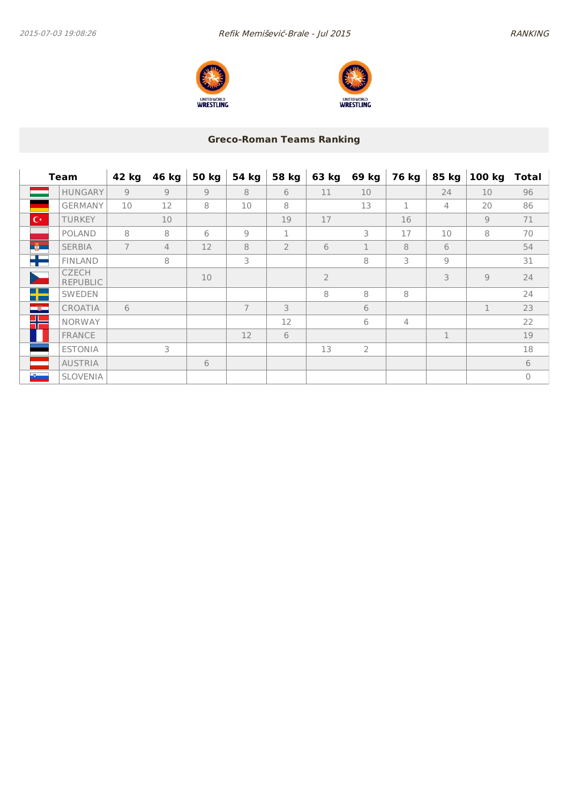



# **Greco-Roman Teams Ranking**

|                | <b>Team</b>                     | 42 kg          | 46 kg          | <b>50 kg</b>   | 54 kg          | 58 kg          | 63 kg          | 69 kg        | 76 kg          | 85 kg          | 100 kg         | <b>Total</b> |
|----------------|---------------------------------|----------------|----------------|----------------|----------------|----------------|----------------|--------------|----------------|----------------|----------------|--------------|
|                | <b>HUNGARY</b>                  | $\overline{Q}$ | $\overline{Q}$ | $\overline{9}$ | 8              | 6              | 11             | 10           |                | 24             | 10             | 96           |
|                | <b>GERMANY</b>                  | 10             | 12             | 8              | 10             | 8              |                | 13           | 1              | $\overline{4}$ | 20             | 86           |
| $ C^* $        | <b>TURKEY</b>                   |                | 10             |                |                | 19             | 17             |              | 16             |                | $\overline{9}$ | 71           |
|                | <b>POLAND</b>                   | 8              | 8              | 6              | 9              | $\mathbf 1$    |                | 3            | 17             | 10             | 8              | 70           |
| $\frac{1}{2}$  | <b>SERBIA</b>                   | $\overline{7}$ | 4              | 12             | 8              | $\overline{2}$ | 6              | $\mathbf{1}$ | 8              | 6              |                | 54           |
| H              | <b>FINLAND</b>                  |                | 8              |                | 3              |                |                | 8            | 3              | 9              |                | 31           |
|                | <b>CZECH</b><br><b>REPUBLIC</b> |                |                | 10             |                |                | $\overline{2}$ |              |                | 3              | $\overline{9}$ | 24           |
| ٢ē             | <b>SWEDEN</b>                   |                |                |                |                |                | 8              | 8            | 8              |                |                | 24           |
| $\blacksquare$ | CROATIA                         | 6              |                |                | $\overline{7}$ | 3              |                | 6            |                |                | 1              | 23           |
| Æ              | <b>NORWAY</b>                   |                |                |                |                | 12             |                | 6            | $\overline{4}$ |                |                | 22           |
|                | <b>FRANCE</b>                   |                |                |                | 12             | 6              |                |              |                | $\mathbf{1}$   |                | 19           |
|                | <b>ESTONIA</b>                  |                | 3              |                |                |                | 13             | 2            |                |                |                | 18           |
|                | <b>AUSTRIA</b>                  |                |                | 6              |                |                |                |              |                |                |                | 6            |
| $\sim$         | <b>SLOVENIA</b>                 |                |                |                |                |                |                |              |                |                |                | $\mathbf{0}$ |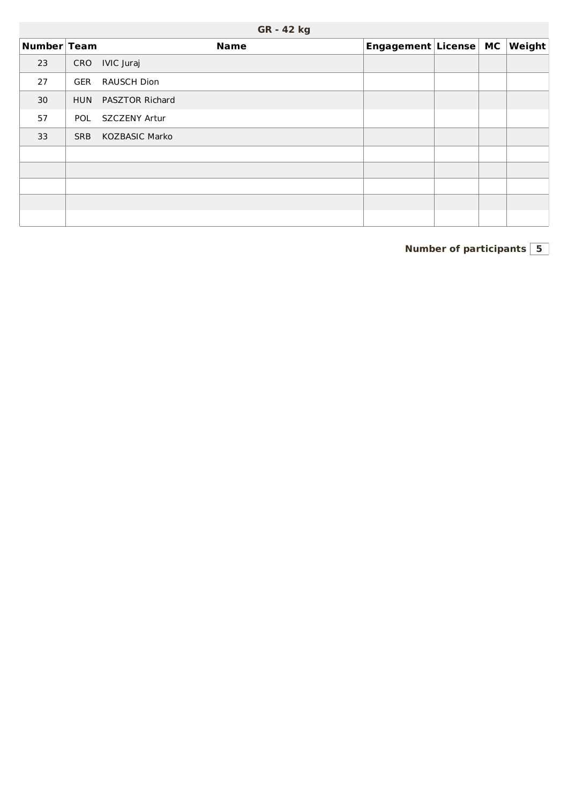|             | <b>UR</b> - 44 Kg |                        |                       |  |  |                        |  |  |  |  |  |  |  |  |
|-------------|-------------------|------------------------|-----------------------|--|--|------------------------|--|--|--|--|--|--|--|--|
| Number Team |                   | <b>Name</b>            | Engagement License MC |  |  | $\vert$ Weight $\vert$ |  |  |  |  |  |  |  |  |
| 23          | CRO               | IVIC Juraj             |                       |  |  |                        |  |  |  |  |  |  |  |  |
| 27          | GER               | <b>RAUSCH Dion</b>     |                       |  |  |                        |  |  |  |  |  |  |  |  |
| 30          | <b>HUN</b>        | <b>PASZTOR Richard</b> |                       |  |  |                        |  |  |  |  |  |  |  |  |
| 57          | <b>POL</b>        | SZCZENY Artur          |                       |  |  |                        |  |  |  |  |  |  |  |  |
| 33          | <b>SRB</b>        | <b>KOZBASIC Marko</b>  |                       |  |  |                        |  |  |  |  |  |  |  |  |
|             |                   |                        |                       |  |  |                        |  |  |  |  |  |  |  |  |
|             |                   |                        |                       |  |  |                        |  |  |  |  |  |  |  |  |
|             |                   |                        |                       |  |  |                        |  |  |  |  |  |  |  |  |
|             |                   |                        |                       |  |  |                        |  |  |  |  |  |  |  |  |
|             |                   |                        |                       |  |  |                        |  |  |  |  |  |  |  |  |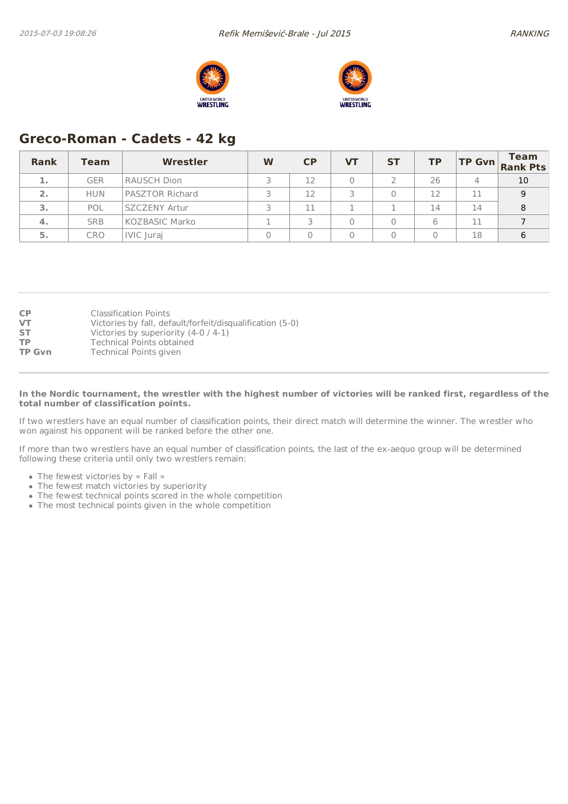



# **Greco-Roman - Cadets - 42 kg**

| Rank | <b>Team</b> | Wrestler               | W | CP | VТ | <b>ST</b> | TP |    | <b>Team</b><br>$\begin{vmatrix} \mathsf{TP} & \mathsf{Gvn} \\ \mathsf{Rank} & \mathsf{Pts} \end{vmatrix}$ |
|------|-------------|------------------------|---|----|----|-----------|----|----|-----------------------------------------------------------------------------------------------------------|
| 1.   | <b>GER</b>  | <b>RAUSCH Dion</b>     |   | 12 |    |           | 26 | 4  | 10                                                                                                        |
| 2.   | <b>HUN</b>  | <b>PASZTOR Richard</b> |   | 12 |    |           | 12 | 11 | 9                                                                                                         |
| 3.   | POL         | <b>SZCZENY Artur</b>   |   | 11 |    |           | 14 | 14 | 8                                                                                                         |
| 4.   | <b>SRB</b>  | <b>KOZBASIC Marko</b>  |   |    |    |           | 6  | 11 |                                                                                                           |
| 5.   | <b>CRO</b>  | IVIC Juraj             |   |    |    |           |    | 18 | 6                                                                                                         |

| <b>CP</b>     | <b>Classification Points</b>                              |
|---------------|-----------------------------------------------------------|
| <b>VT</b>     | Victories by fall, default/forfeit/disqualification (5-0) |
| <b>ST</b>     | Victories by superiority (4-0 / 4-1)                      |
| <b>TP</b>     | Technical Points obtained                                 |
| <b>TP Gvn</b> | Technical Points given                                    |

#### In the Nordic tournament, the wrestler with the highest number of victories will be ranked first, regardless of the **total number of classification points.**

If two wrestlers have an equal number of classification points, their direct match will determine the winner. The wrestler who won against his opponent will be ranked before the other one.

If more than two wrestlers have an equal number of classification points, the last of the ex-aequo group will be determined following these criteria until only two wrestlers remain:

- The fewest victories by « Fall »
- The fewest match victories by superiority
- The fewest technical points scored in the whole competition
- The most technical points given in the whole competition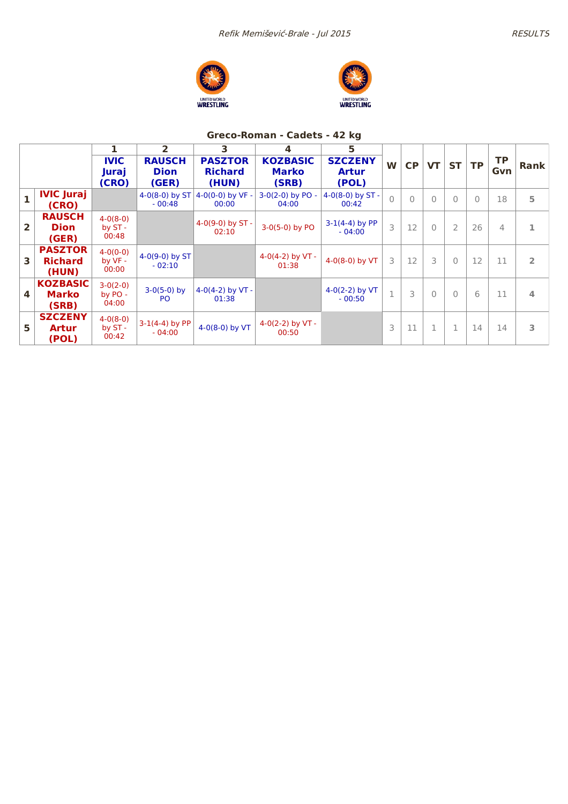





## **Greco-Roman - Cadets - 42 kg**

|                |                                           |                                | 2                                     | 3                                         | 4                                        | 5                                       |                |           |           |                |           |                  |             |
|----------------|-------------------------------------------|--------------------------------|---------------------------------------|-------------------------------------------|------------------------------------------|-----------------------------------------|----------------|-----------|-----------|----------------|-----------|------------------|-------------|
|                |                                           | <b>IVIC</b><br>Juraj<br>(CRO)  | <b>RAUSCH</b><br><b>Dion</b><br>(GER) | <b>PASZTOR</b><br><b>Richard</b><br>(HUN) | <b>KOZBASIC</b><br><b>Marko</b><br>(SRB) | <b>SZCZENY</b><br><b>Artur</b><br>(POL) | W              | <b>CP</b> | <b>VT</b> | <b>ST</b>      | <b>TP</b> | <b>TP</b><br>Gvn | <b>Rank</b> |
| $\mathbf{1}$   | <b>IVIC Juraj</b><br>(CRO)                |                                | $4-0(8-0)$ by ST<br>$-00:48$          | 4-0(0-0) by $VF -$<br>00:00               | $3-0(2-0)$ by PO -<br>04:00              | 4-0(8-0) by $ST -$<br>00:42             | $\overline{O}$ | $\bigcap$ | $\Omega$  | $\bigcap$      | $\bigcap$ | 18               | 5           |
| $\overline{2}$ | <b>RAUSCH</b><br><b>Dion</b><br>(GER)     | $4-0(8-0)$<br>by ST-<br>00:48  |                                       | 4-0(9-0) by $ST -$<br>02:10               | $3-0(5-0)$ by PO                         | $3-1(4-4)$ by PP<br>$-04:00$            | 3              | 12        | $\bigcap$ | $\overline{2}$ | 26        | 4                |             |
| 3              | <b>PASZTOR</b><br><b>Richard</b><br>(HUN) | $4-0(0-0)$<br>by VF -<br>00:00 | 4-0(9-0) by ST<br>$-02:10$            |                                           | 4-0(4-2) by VT -<br>01:38                | 4-0(8-0) by $VT$                        | 3              | 12        | 3         | $\Omega$       | 12        | 11               | 2           |
| 4              | <b>KOZBASIC</b><br><b>Marko</b><br>(SRB)  | $3-0(2-0)$<br>by PO -<br>04:00 | $3-0(5-0)$ by<br>PO.                  | 4-0(4-2) by $VT -$<br>01:38               |                                          | $4-0(2-2)$ by VT<br>$-00:50$            | 1              | 3         | $\bigcap$ | $\bigcap$      | 6         | 11               | 4           |
| 5              | <b>SZCZENY</b><br><b>Artur</b><br>(POL)   | $4-0(8-0)$<br>by ST -<br>00:42 | $3-1(4-4)$ by PP<br>$-04:00$          | 4-0(8-0) by $VT$                          | 4-0(2-2) by $VT -$<br>00:50              |                                         | 3              | 11        | 1         | 1              | 14        | 14               | 3           |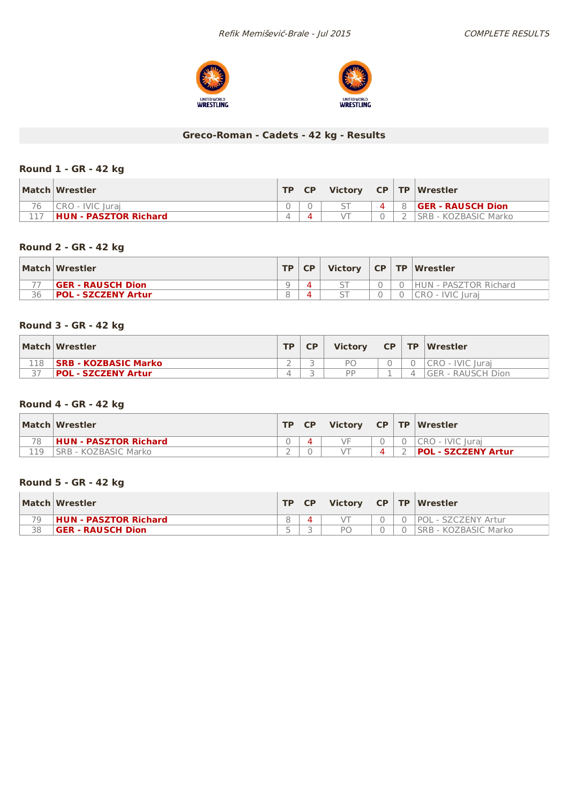



# **Greco-Roman - Cadets - 42 kg - Results**

### **Round 1 - GR - 42 kg**

|    | Match Wrestler        | TD. | <b>CP</b> | <b>Victory</b> |   | CP TP Wrestler           |
|----|-----------------------|-----|-----------|----------------|---|--------------------------|
| 76 | CRO - IVIC Iurai      |     |           |                | 4 | <b>GER - RAUSCH Dion</b> |
|    | HUN - PASZTOR Richard |     |           | $\sqrt{T}$     |   | SRB - KOZBASIC Marko     |

#### **Round 2 - GR - 42 kg**

|    | Match Wrestler             | TD. | <b>CP</b> | <b>Victory</b>           |  | CP   TP   Wrestler            |
|----|----------------------------|-----|-----------|--------------------------|--|-------------------------------|
|    | <b>GER - RAUSCH Dion</b>   | a   |           |                          |  | <b>IHUN - PASZTOR Richard</b> |
| 36 | <b>POL - SZCZENY Artur</b> |     |           | $\overline{\phantom{0}}$ |  | <b>IVIC</b> Jurai<br>CRO -    |

### **Round 3 - GR - 42 kg**

|     | Match Wrestler              | <b>TD</b> | <b>Victory</b> | <b>CP</b> | $\Gamma$ TP $\Gamma$ Wrestler |
|-----|-----------------------------|-----------|----------------|-----------|-------------------------------|
| 118 | <b>SRB - KOZBASIC Marko</b> |           | DГ             |           | ICRO - IVIC Iurai             |
|     | <b>POL - SZCZENY Artur</b>  |           | <b>DD</b>      | -         | IGER - RAUSCH Dion            |

### **Round 4 - GR - 42 kg**

|    | Match Wrestler               | TD. | <b>Victory</b> |  | $CP$ TP Wrestler    |
|----|------------------------------|-----|----------------|--|---------------------|
| 78 | <b>HUN - PASZTOR Richard</b> |     | VF             |  | I CRO - IVIC Iurai  |
| 19 | SRB - KOZBASIC Marko         |     |                |  | POL - SZCZENY Artur |

### **Round 5 - GR - 42 kg**

|    | Match Wrestler               | TD. | <b>Victory</b> |  | $CP$ TP Wrestler     |
|----|------------------------------|-----|----------------|--|----------------------|
| 70 | <b>HUN - PASZTOR Richard</b> |     |                |  | POL - SZCZENY Artur  |
| 38 | <b>GER - RAUSCH Dion</b>     | -   | РC             |  | SRB - KOZBASIC Marko |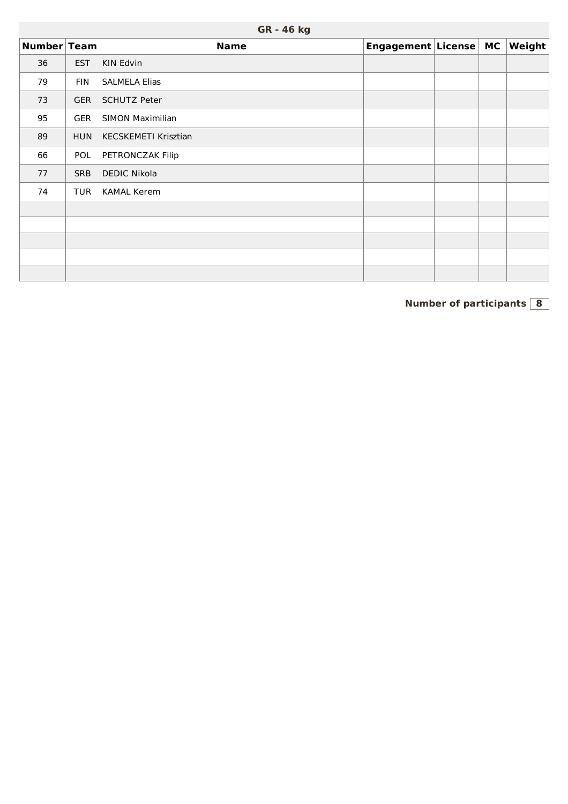|             |            | GR - 46 kg              |                       |  |        |
|-------------|------------|-------------------------|-----------------------|--|--------|
| Number Team |            | <b>Name</b>             | Engagement License MC |  | Weight |
| 36          | <b>EST</b> | KIN Edvin               |                       |  |        |
| 79          | <b>FIN</b> | <b>SALMELA Elias</b>    |                       |  |        |
| 73          | <b>GER</b> | <b>SCHUTZ Peter</b>     |                       |  |        |
| 95          | <b>GER</b> | <b>SIMON Maximilian</b> |                       |  |        |
| 89          | <b>HUN</b> | KECSKEMETI Krisztian    |                       |  |        |
| 66          | POL        | PETRONCZAK Filip        |                       |  |        |
| 77          | <b>SRB</b> | <b>DEDIC Nikola</b>     |                       |  |        |
| 74          | TUR        | <b>KAMAL Kerem</b>      |                       |  |        |
|             |            |                         |                       |  |        |
|             |            |                         |                       |  |        |
|             |            |                         |                       |  |        |
|             |            |                         |                       |  |        |
|             |            |                         |                       |  |        |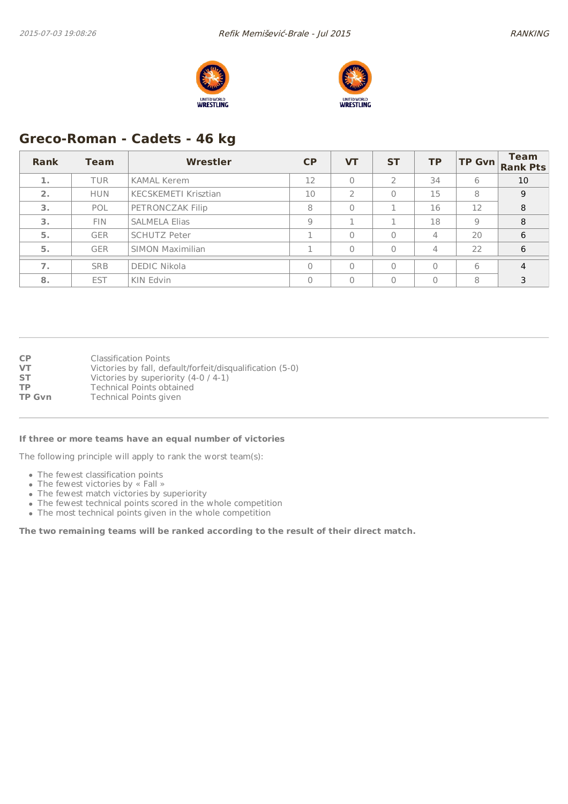



# **Greco-Roman - Cadets - 46 kg**

| Rank | <b>Team</b> | <b>Wrestler</b>             | <b>CP</b> | <b>VT</b> | <b>ST</b> | <b>TP</b> | <b>TP Gvn</b> | <b>Team</b><br><b>Rank Pts</b> |
|------|-------------|-----------------------------|-----------|-----------|-----------|-----------|---------------|--------------------------------|
| 1.   | <b>TUR</b>  | <b>KAMAL Kerem</b>          | 12        | $\Omega$  |           | 34        | 6             | 10                             |
| 2.   | <b>HUN</b>  | <b>KECSKEMETI Krisztian</b> | 10        |           | 0         | 15        | 8             | 9                              |
| 3.   | POL         | PETRONCZAK Filip            | 8         | $\Omega$  |           | 16        | 12            | 8                              |
| 3.   | <b>FIN</b>  | <b>SALMELA Elias</b>        | 9         |           |           | 18        | 9             | 8                              |
| 5.   | <b>GER</b>  | <b>SCHUTZ Peter</b>         |           | $\Omega$  | $\Omega$  | 4         | 20            | 6                              |
| 5.   | <b>GER</b>  | <b>SIMON Maximilian</b>     |           | $\Omega$  | $\Omega$  | 4         | 22            | 6                              |
| 7.   | <b>SRB</b>  | <b>DEDIC Nikola</b>         |           | $\Omega$  | $\Omega$  | $\Omega$  | 6             | 4                              |
| 8.   | <b>EST</b>  | KIN Edvin                   | Λ         | $\Omega$  | $\Omega$  | $\Omega$  | 8             | 3                              |

**CP** Classification Points<br> **VT** Victories by fall, def Victories by fall, default/forfeit/disqualification (5-0) **ST** Victories by superiority (4-0 / 4-1)<br> **TP** Technical Points obtained **TP** Technical Points obtained<br> **TP Gvn** Technical Points given **Technical Points given** 

#### **If three or more teams have an equal number of victories**

The following principle will apply to rank the worst team(s):

- The fewest classification points
- The fewest victories by « Fall »
- The fewest match victories by superiority
- The fewest technical points scored in the whole competition
- The most technical points given in the whole competition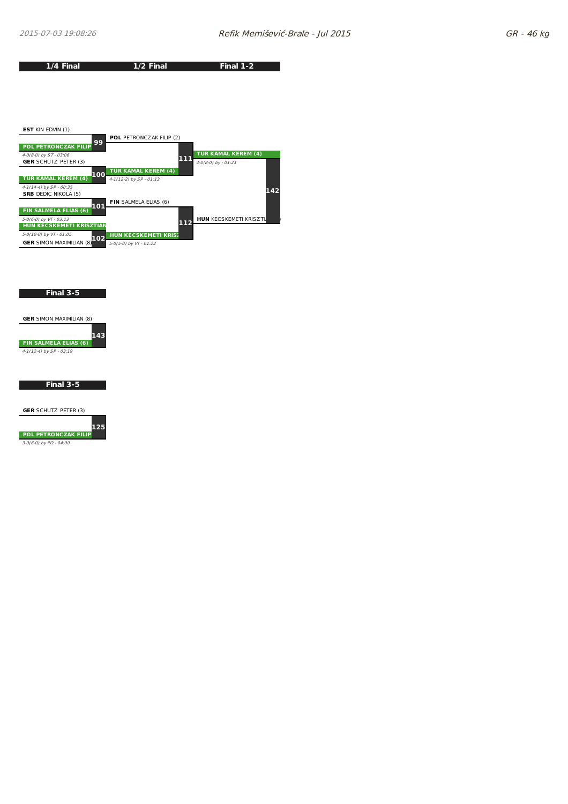



#### **Final 3-5**



#### **Final 3-5**

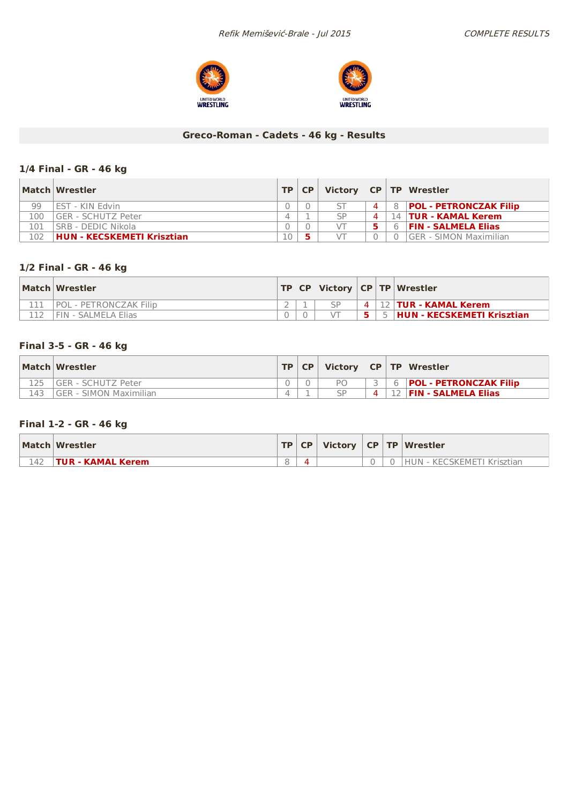



## **Greco-Roman - Cadets - 46 kg - Results**

### **1/4 Final - GR - 46 kg**

|     | Match Wrestler                    | <b>TP</b> | CP. |    |   |   | Victory   CP   TP   Wrestler   |
|-----|-----------------------------------|-----------|-----|----|---|---|--------------------------------|
| 99  | I FST - KIN Fdvin                 |           |     |    | 4 | 8 | <b>POL - PETRONCZAK Filip</b>  |
| 100 | l GER - SCHUTZ Peter              |           |     | SP | Δ |   | 14 <b>TUR - KAMAL Kerem</b>    |
| 101 | <b>SRB - DEDIC Nikola</b>         |           |     |    |   | 6 | <b>FIN - SALMELA Elias</b>     |
| 102 | <b>HUN - KECSKEMETI Krisztian</b> | 10        |     |    |   |   | <b>IGER - SIMON Maximilian</b> |

## **1/2 Final - GR - 46 kg**

| Match Wrestler         |  |     | $TP CP $ Victory $ CP TP $ Wrestler |
|------------------------|--|-----|-------------------------------------|
| POL - PETRONCZAK Filip |  | 4 I | 12   TUR - KAMAL Kerem              |
| i FIN - SALMELA Elias  |  |     | 5  HUN - KECSKEMETI Krisztian       |

### **Final 3-5 - GR - 46 kg**

|     | Match Wrestler          | <b>TP</b> | <b>CP</b> | Victory   CP   TP   Wrestler |   |                               |
|-----|-------------------------|-----------|-----------|------------------------------|---|-------------------------------|
|     | IGER - SCHUTZ Peter     |           |           | PO                           |   | <b>POL - PETRONCZAK Filip</b> |
| 143 | IGER - SIMON Maximilian |           |           |                              | 4 | <b>FIN - SALMELA Elias</b>    |

### **Final 1-2 - GR - 46 kg**

|     | Match Wrestler           |  |  | $\ TP\ CP\ $ Victory $\ CP\ TP\ $ Wrestler |
|-----|--------------------------|--|--|--------------------------------------------|
| 142 | <b>TUR - KAMAL Kerem</b> |  |  | HUN - KECSKEMETI Krisztian                 |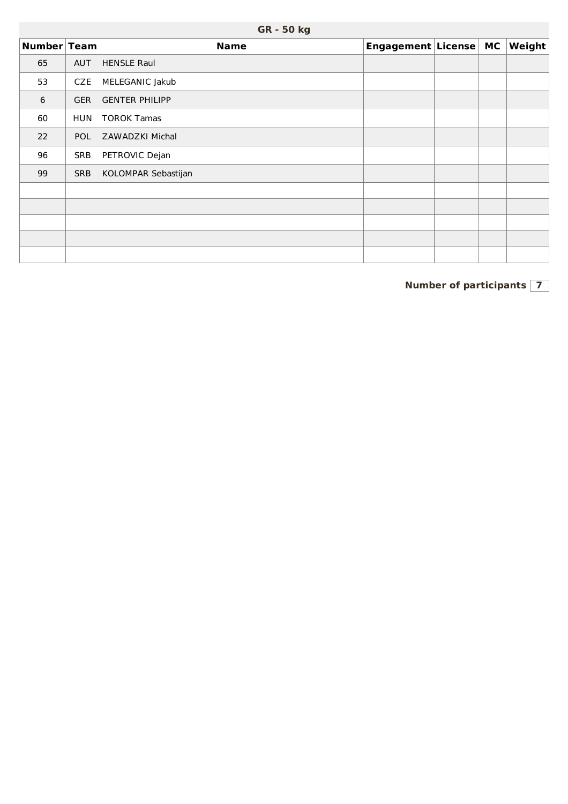|             |            | GR - 50 kg            |                       |  |                          |
|-------------|------------|-----------------------|-----------------------|--|--------------------------|
| Number Team |            | <b>Name</b>           | Engagement License MC |  | $\sqrt{\mathsf{Weight}}$ |
| 65          | <b>AUT</b> | <b>HENSLE Raul</b>    |                       |  |                          |
| 53          | CZE        | MELEGANIC Jakub       |                       |  |                          |
| 6           | <b>GER</b> | <b>GENTER PHILIPP</b> |                       |  |                          |
| 60          | <b>HUN</b> | <b>TOROK Tamas</b>    |                       |  |                          |
| 22          | <b>POL</b> | ZAWADZKI Michal       |                       |  |                          |
| 96          | <b>SRB</b> | PETROVIC Dejan        |                       |  |                          |
| 99          | <b>SRB</b> | KOLOMPAR Sebastijan   |                       |  |                          |
|             |            |                       |                       |  |                          |
|             |            |                       |                       |  |                          |
|             |            |                       |                       |  |                          |
|             |            |                       |                       |  |                          |
|             |            |                       |                       |  |                          |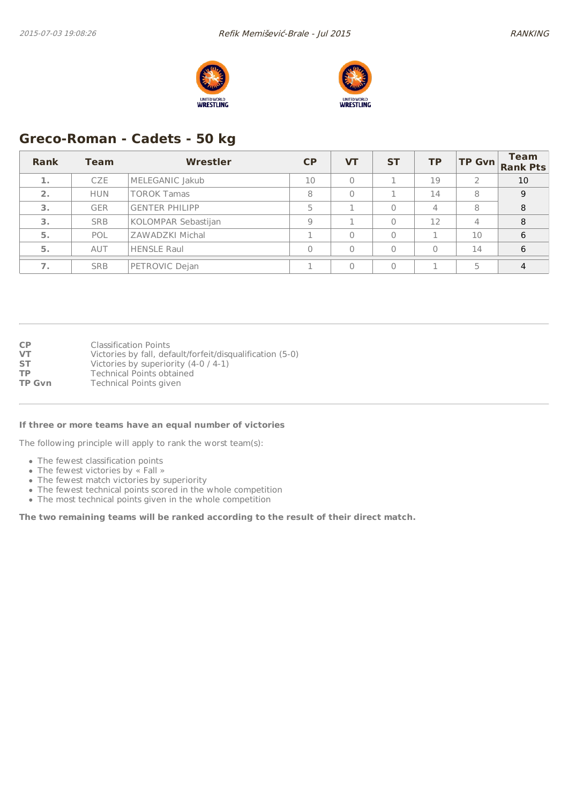



# **Greco-Roman - Cadets - 50 kg**

| Rank | <b>Team</b> | Wrestler              | CP | VТ       | <b>ST</b> | <b>TP</b> | <b>TP Gvn</b>  | <b>Team</b><br><b>Rank Pts</b> |
|------|-------------|-----------------------|----|----------|-----------|-----------|----------------|--------------------------------|
|      | <b>CZE</b>  | MELEGANIC Jakub       | 10 | $\Omega$ |           | 19        |                | 10                             |
| 2.   | <b>HUN</b>  | <b>TOROK Tamas</b>    | 8  | $\Omega$ |           | 14        | 8              | 9                              |
| 3.   | <b>GER</b>  | <b>GENTER PHILIPP</b> |    |          | 0         | 4         | 8              | 8                              |
| 3.   | <b>SRB</b>  | KOLOMPAR Sebastijan   | Q  |          | 0         | 12        | $\overline{4}$ | 8                              |
| 5.   | POL         | ZAWADZKI Michal       |    | $\Omega$ | 0         |           | 10             | 6                              |
| 5.   | AUT         | <b>HENSLE Raul</b>    |    | $\Omega$ | $\Omega$  | 0         | 14             | 6                              |
|      | <b>SRB</b>  | PETROVIC Dejan        |    | $\Omega$ | $\Omega$  |           | 5              | 4                              |

| СP            | <b>Classification Points</b>                              |
|---------------|-----------------------------------------------------------|
| VT            | Victories by fall, default/forfeit/disqualification (5-0) |
| SТ            | Victories by superiority (4-0 / 4-1)                      |
| ТP            | <b>Technical Points obtained</b>                          |
| <b>TP Gvn</b> | Technical Points given                                    |

#### **If three or more teams have an equal number of victories**

The following principle will apply to rank the worst team(s):

- The fewest classification points
- The fewest victories by « Fall »
- The fewest match victories by superiority
- The fewest technical points scored in the whole competition
- The most technical points given in the whole competition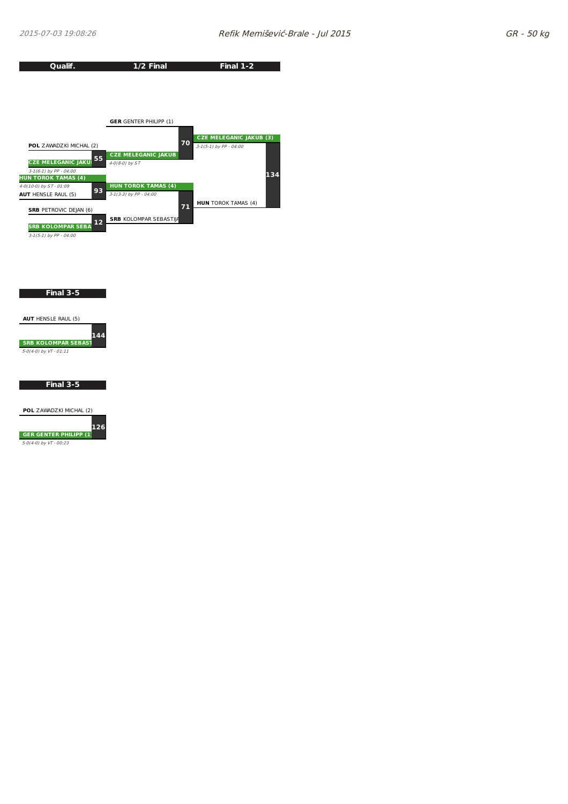

**Final 3-5**



**Final 3-5**

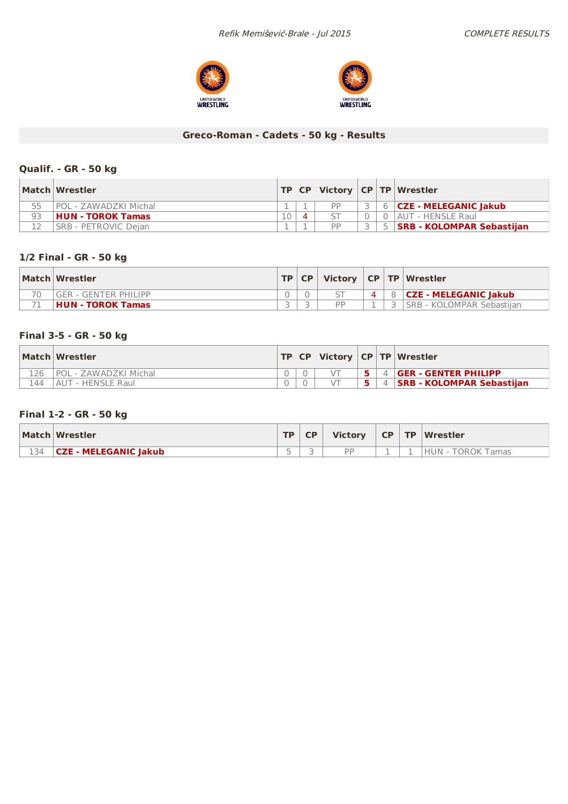



## **Greco-Roman - Cadets - 50 kg - Results**

### **Qualif. - GR - 50 kg**

|    | Match Wrestler           |    |    |  | TP   CP   Victory   CP   TP   Wrestler |
|----|--------------------------|----|----|--|----------------------------------------|
|    | POL - ZAWADZKI Michal    |    | DD |  | 6 <b>CZE - MELEGANIC Jakub</b>         |
| 93 | <b>HUN - TOROK Tamas</b> | 10 |    |  | 0   AUT - HENSLE Raul                  |
|    | ISRB - PETROVIC Deian    |    | DD |  | <b>SRB - KOLOMPAR Sebastiian</b>       |

### **1/2 Final - GR - 50 kg**

|    | Match Wrestler           | $TP$ $CP$ |    |  | Victory   CP   TP   Wrestler |
|----|--------------------------|-----------|----|--|------------------------------|
| 70 | lger - genter Philipp    |           |    |  | <b>CZE - MELEGANIC lakub</b> |
|    | <b>HUN - TOROK Tamas</b> |           | DD |  | ISRB - KOLOMPAR Sebastijan   |

### **Final 3-5 - GR - 50 kg**

|     | Match Wrestler        |  |  | TP   CP   Victory   CP   TP   Wrestler |
|-----|-----------------------|--|--|----------------------------------------|
|     | POL - ZAWADZKI Michal |  |  | 4 <b>GER - GENTER PHILIPP</b>          |
| 144 | AUT - HENSLE Raul     |  |  | 4   SRB - KOLOMPAR Sebastiian          |

### **Final 1-2 - GR - 50 kg**

|     | Match Wrestler               | TD. | <b>Victory</b> | CP . | TP Wrestler       |
|-----|------------------------------|-----|----------------|------|-------------------|
| 134 | <b>CZE - MELEGANIC Jakub</b> |     | <b>DD</b>      |      | HUN - TOROK Tamas |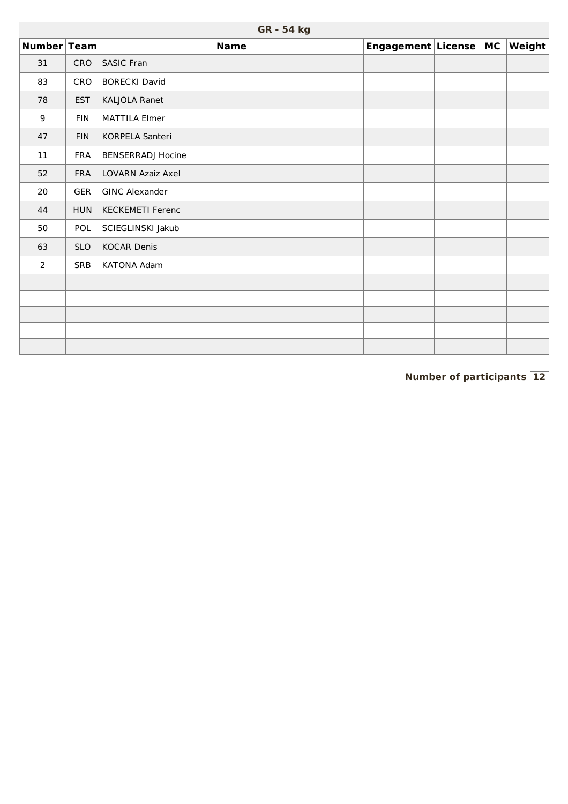| Number Team |            | <b>Name</b>              | Engagement License | <b>MC</b> | Weight |
|-------------|------------|--------------------------|--------------------|-----------|--------|
| 31          | <b>CRO</b> | SASIC Fran               |                    |           |        |
| 83          | CRO        | <b>BORECKI David</b>     |                    |           |        |
| 78          | <b>EST</b> | KALJOLA Ranet            |                    |           |        |
| 9           | <b>FIN</b> | <b>MATTILA Elmer</b>     |                    |           |        |
| 47          | <b>FIN</b> | KORPELA Santeri          |                    |           |        |
| 11          | <b>FRA</b> | <b>BENSERRADJ Hocine</b> |                    |           |        |
| 52          | <b>FRA</b> | LOVARN Azaiz Axel        |                    |           |        |
| 20          | <b>GER</b> | <b>GINC Alexander</b>    |                    |           |        |
| 44          | <b>HUN</b> | <b>KECKEMETI Ferenc</b>  |                    |           |        |
| 50          | POL        | SCIEGLINSKI Jakub        |                    |           |        |
| 63          | <b>SLO</b> | <b>KOCAR Denis</b>       |                    |           |        |
| 2           | <b>SRB</b> | <b>KATONA Adam</b>       |                    |           |        |
|             |            |                          |                    |           |        |
|             |            |                          |                    |           |        |
|             |            |                          |                    |           |        |
|             |            |                          |                    |           |        |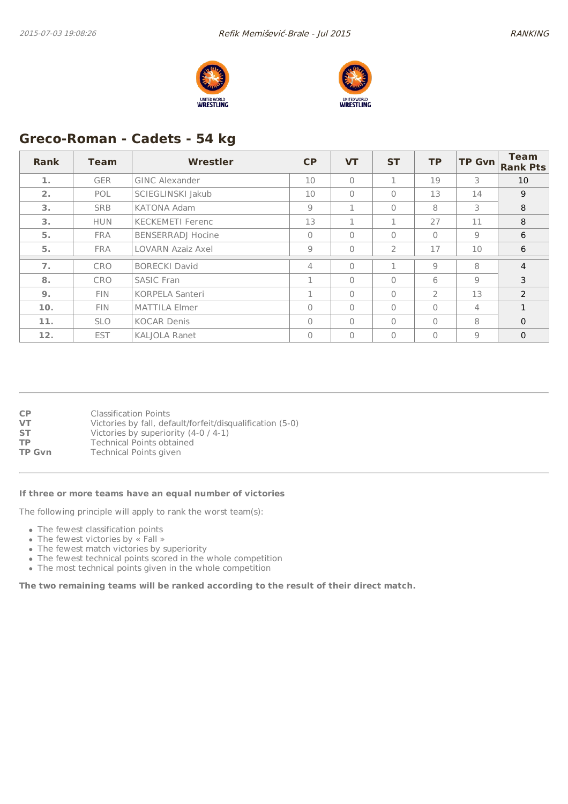



# **Greco-Roman - Cadets - 54 kg**

| Rank | <b>Team</b> | Wrestler                 | CP           | <b>VT</b>    | <b>ST</b>      | <b>TP</b> | <b>TP Gvn</b> | <b>Team</b><br><b>Rank Pts</b> |
|------|-------------|--------------------------|--------------|--------------|----------------|-----------|---------------|--------------------------------|
| 1.   | <b>GER</b>  | <b>GINC Alexander</b>    | 10           | $\Omega$     | 1              | 19        | 3             | 10                             |
| 2.   | <b>POL</b>  | SCIEGLINSKI Jakub        | 10           | $\Omega$     | $\Omega$       | 13        | 14            | 9                              |
| 3.   | <b>SRB</b>  | <b>KATONA Adam</b>       | 9            | 1            | $\mathbf{0}$   | 8         | 3             | 8                              |
| 3.   | <b>HUN</b>  | <b>KECKEMETI Ferenc</b>  | 13           | 1            | 1              | 27        | 11            | 8                              |
| 5.   | <b>FRA</b>  | <b>BENSERRADJ Hocine</b> | $\Omega$     | $\Omega$     | $\Omega$       | $\Omega$  | 9             | 6                              |
| 5.   | <b>FRA</b>  | <b>LOVARN Azaiz Axel</b> | 9            | $\mathbf{0}$ | $\overline{2}$ | 17        | 10            | 6                              |
| 7.   | <b>CRO</b>  | <b>BORECKI David</b>     | 4            | $\mathbf{0}$ | п              | 9         | 8             | $\overline{4}$                 |
| 8.   | <b>CRO</b>  | <b>SASIC Fran</b>        | $\mathbf{1}$ | $\Omega$     | $\Omega$       | 6         | 9             | 3                              |
| 9.   | <b>FIN</b>  | <b>KORPELA Santeri</b>   |              | $\bigcap$    | $\bigcap$      | 2         | 13            | 2                              |
| 10.  | <b>FIN</b>  | <b>MATTILA Elmer</b>     | $\mathbf{0}$ | $\Omega$     | $\mathbf{0}$   | $\Omega$  | 4             | $\mathbf{1}$                   |
| 11.  | <b>SLO</b>  | <b>KOCAR Denis</b>       | $\Omega$     | $\Omega$     | $\bigcap$      | $\Omega$  | 8             | $\Omega$                       |
| 12.  | <b>EST</b>  | <b>KALIOLA Ranet</b>     | 0            | $\Omega$     | $\mathbf{0}$   | $\Omega$  | 9             | $\mathbf 0$                    |

| <b>CP</b>     | <b>Classification Points</b>                              |
|---------------|-----------------------------------------------------------|
| VT            | Victories by fall, default/forfeit/disqualification (5-0) |
| <b>ST</b>     | Victories by superiority $(4-0/4-1)$                      |
| ТP            | <b>Technical Points obtained</b>                          |
| <b>TP Gvn</b> | <b>Technical Points given</b>                             |

#### **If three or more teams have an equal number of victories**

The following principle will apply to rank the worst team(s):

- The fewest classification points
- The fewest victories by « Fall »
- The fewest match victories by superiority
- The fewest technical points scored in the whole competition
- The most technical points given in the whole competition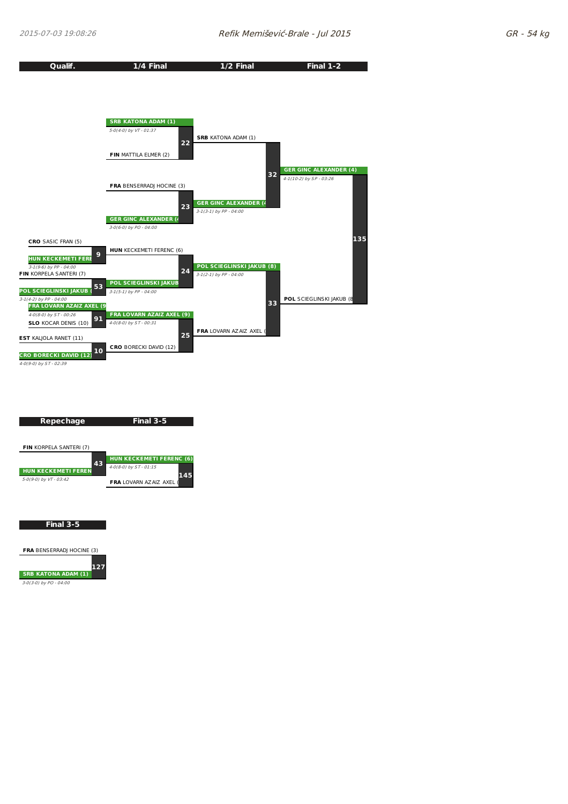



**FRA** BENSERRADJ HOCINE (3)

**SRB KATONA ADAM (1) 127**

3-0(3-0) by PO - 04:00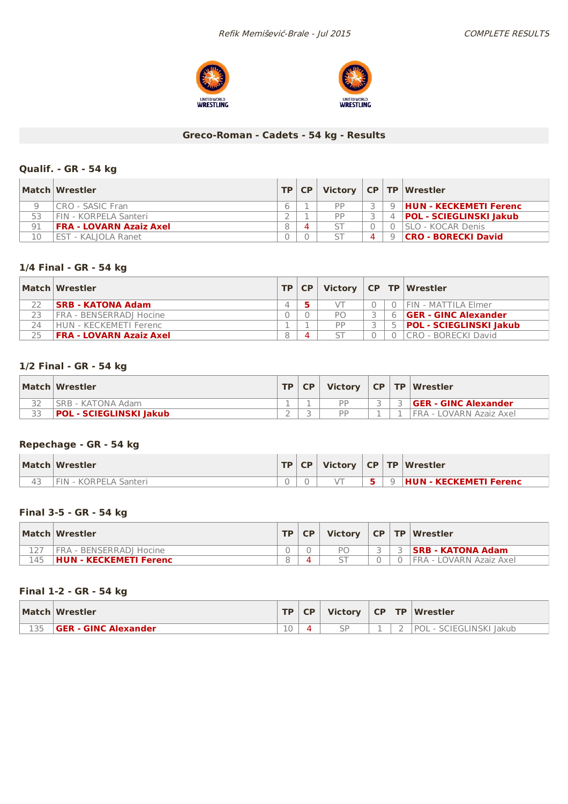



### **Greco-Roman - Cadets - 54 kg - Results**

### **Qualif. - GR - 54 kg**

|    | Match Wrestler                 | TP CP | Victory   CP   TP   Wrestler |          |                             |  |  |  |
|----|--------------------------------|-------|------------------------------|----------|-----------------------------|--|--|--|
|    | ICRO - SASIC Fran              |       | DD                           |          | 9 HUN - KECKEMETI Ferenc    |  |  |  |
|    | FIN - KORPFIA Santeri          |       | <b>DD</b>                    |          | 4   POL - SCIEGLINSKI Jakub |  |  |  |
| 91 | <b>FRA - LOVARN Azaiz Axel</b> |       |                              |          | <b>ISLO - KOCAR Denis</b>   |  |  |  |
| 10 | <b>EST - KALIOLA Ranet</b>     |       |                              | $\Omega$ | <b>CRO - BORECKI David</b>  |  |  |  |

## **1/4 Final - GR - 54 kg**

|    | Match Wrestler                 |   | TP   CP |     |  | Victory $ CP TP $ Wrestler     |
|----|--------------------------------|---|---------|-----|--|--------------------------------|
|    | <b>SRB - KATONA Adam</b>       |   |         |     |  | FIN - MATTILA Elmer            |
|    | FRA - BENSERRADI Hocine        |   |         | PO. |  | <b>GER - GINC Alexander</b>    |
| 24 | HUN - KECKEMETI Ferenc         |   |         | DD  |  | <b>POL - SCIEGLINSKI Jakub</b> |
| 25 | <b>FRA - LOVARN Azaiz Axel</b> | 8 |         |     |  | CRO - BORECKI David            |

### **1/2 Final - GR - 54 kg**

|    | Match Wrestler          | TD | <b>CP</b> | <b>Victory</b> |  | CP   TP   Wrestler          |
|----|-------------------------|----|-----------|----------------|--|-----------------------------|
|    | SRB - KATONA Adam       |    |           | DD             |  | <b>GER - GINC Alexander</b> |
| ココ | POL - SCIEGLINSKI Jakub |    |           | DD             |  | FRA - LOVARN Azaiz Axel     |

### **Repechage - GR - 54 kg**

| Match Wrestler        | <b>TP</b> | CP |  | Victory $ CP TP Wrestler$       |
|-----------------------|-----------|----|--|---------------------------------|
| FIN - KORPELA Santeri |           |    |  | 9 <b>HUN - KECKEMETI Ferenc</b> |

#### **Final 3-5 - GR - 54 kg**

|     | Match Wrestler                | <b>TP</b> | <b>CP</b> |    |  | Victory   CP   TP   Wrestler |
|-----|-------------------------------|-----------|-----------|----|--|------------------------------|
|     | I FRA - BENSERRADI Hocine     |           |           | PС |  | <b>SRB - KATONA Adam</b>     |
| 145 | <b>HUN - KECKEMETI Ferenc</b> |           |           |    |  | I FRA - LOVARN Azaiz Axel    |

### **Final 1-2 - GR - 54 kg**

| Match Wrestler              | TD. | <b>CP</b> |  | Victory $ CP TP Wrestler $   |
|-----------------------------|-----|-----------|--|------------------------------|
| <b>GER - GINC Alexander</b> | 10  |           |  | ' POL -<br>SCIEGLINSKI Jakub |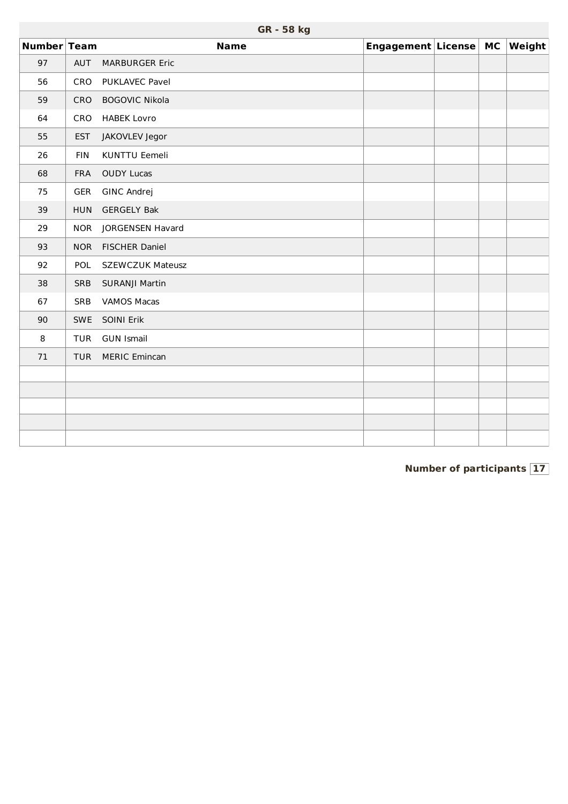|             |            | GR - 58 kg              |                    |           |        |
|-------------|------------|-------------------------|--------------------|-----------|--------|
| Number Team |            | <b>Name</b>             | Engagement License | <b>MC</b> | Weight |
| 97          | AUT        | <b>MARBURGER Eric</b>   |                    |           |        |
| 56          | CRO        | PUKLAVEC Pavel          |                    |           |        |
| 59          | CRO        | <b>BOGOVIC Nikola</b>   |                    |           |        |
| 64          | CRO        | <b>HABEK Lovro</b>      |                    |           |        |
| 55          | <b>EST</b> | JAKOVLEV Jegor          |                    |           |        |
| 26          | <b>FIN</b> | <b>KUNTTU Eemeli</b>    |                    |           |        |
| 68          | <b>FRA</b> | <b>OUDY Lucas</b>       |                    |           |        |
| 75          | GER        | <b>GINC Andrej</b>      |                    |           |        |
| 39          | <b>HUN</b> | <b>GERGELY Bak</b>      |                    |           |        |
| 29          | <b>NOR</b> | JORGENSEN Havard        |                    |           |        |
| 93          | <b>NOR</b> | <b>FISCHER Daniel</b>   |                    |           |        |
| 92          | <b>POL</b> | <b>SZEWCZUK Mateusz</b> |                    |           |        |
| 38          | SRB        | SURANJI Martin          |                    |           |        |
| 67          | <b>SRB</b> | <b>VAMOS Macas</b>      |                    |           |        |
| 90          | <b>SWE</b> | SOINI Erik              |                    |           |        |
| 8           | <b>TUR</b> | <b>GUN Ismail</b>       |                    |           |        |
| 71          | <b>TUR</b> | <b>MERIC Emincan</b>    |                    |           |        |
|             |            |                         |                    |           |        |
|             |            |                         |                    |           |        |
|             |            |                         |                    |           |        |
|             |            |                         |                    |           |        |
|             |            |                         |                    |           |        |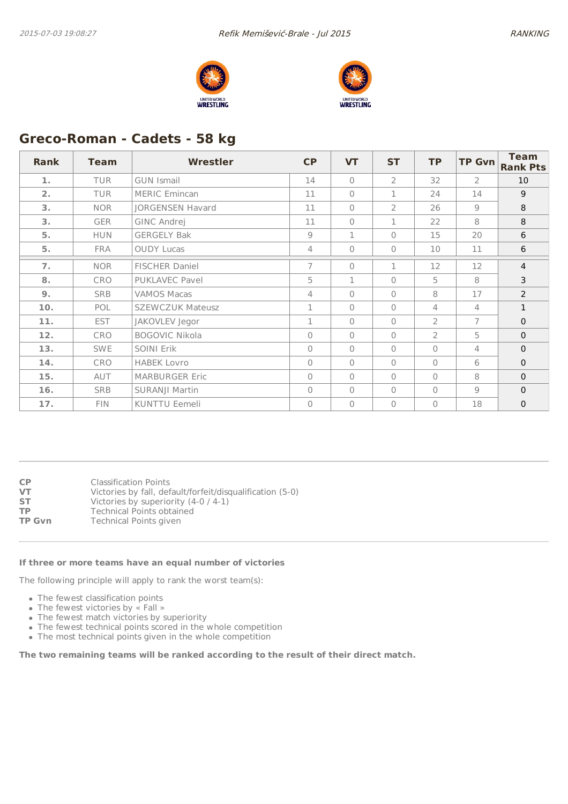



# **Greco-Roman - Cadets - 58 kg**

| Rank | Team       | <b>Wrestler</b>         | <b>CP</b>      | <b>VT</b>    | <b>ST</b>      | <b>TP</b>      | <b>TP Gvn</b>  | <b>Team</b><br><b>Rank Pts</b> |
|------|------------|-------------------------|----------------|--------------|----------------|----------------|----------------|--------------------------------|
| 1.   | <b>TUR</b> | <b>GUN Ismail</b>       | 14             | $\bigcap$    | 2              | 32             | $\overline{2}$ | 10                             |
| 2.   | <b>TUR</b> | <b>MERIC Emincan</b>    | 11             | $\bigcap$    | 1              | 24             | 14             | 9                              |
| 3.   | <b>NOR</b> | <b>JORGENSEN Havard</b> | 11             | $\bigcap$    | $\overline{2}$ | 26             | $\overline{9}$ | 8                              |
| 3.   | <b>GER</b> | GINC Andrej             | 11             | $\bigcap$    | $\mathbf{1}$   | 22             | 8              | 8                              |
| 5.   | <b>HUN</b> | <b>GERGELY Bak</b>      | 9              | $\mathbf{1}$ | $\Omega$       | 15             | 20             | 6                              |
| 5.   | <b>FRA</b> | <b>OUDY Lucas</b>       | $\overline{4}$ | $\Omega$     | $\Omega$       | 10             | 11             | 6                              |
| 7.   | <b>NOR</b> | <b>FISCHER Daniel</b>   | $\overline{7}$ | $\bigcap$    | $\mathbf{1}$   | 12             | 12             | $\overline{4}$                 |
| 8.   | <b>CRO</b> | PUKLAVEC Pavel          | 5              | $\mathbf{1}$ | $\mathbf{0}$   | 5              | 8              | 3                              |
| 9.   | <b>SRB</b> | <b>VAMOS Macas</b>      | 4              | $\bigcap$    | $\bigcap$      | 8              | 17             | 2                              |
| 10.  | POL.       | <b>SZEWCZUK Mateusz</b> | 1              | $\Omega$     | $\mathbf{0}$   | 4              | 4              | $\mathbf{1}$                   |
| 11.  | <b>EST</b> | JAKOVLEV Jegor          | 1              | $\Omega$     | $\mathbf{0}$   | $\overline{2}$ | 7              | $\mathbf{0}$                   |
| 12.  | <b>CRO</b> | <b>BOGOVIC Nikola</b>   | $\Omega$       | $\bigcap$    | $\Omega$       | $\overline{2}$ | 5              | $\mathbf{0}$                   |
| 13.  | <b>SWE</b> | SOINI Erik              | $\mathbf{0}$   | $\bigcap$    | $\mathbf{0}$   | $\mathbf{0}$   | 4              | $\mathbf 0$                    |
| 14.  | <b>CRO</b> | <b>HABEK Lovro</b>      | $\Omega$       | $\bigcap$    | $\Omega$       | $\Omega$       | 6              | $\mathbf{0}$                   |
| 15.  | <b>AUT</b> | <b>MARBURGER Eric</b>   | $\Omega$       | $\bigcap$    | $\Omega$       | $\bigcap$      | 8              | $\Omega$                       |
| 16.  | <b>SRB</b> | SURANJI Martin          | $\mathbf{0}$   | $\bigcap$    | $\mathbf{0}$   | $\Omega$       | $\overline{9}$ | $\mathbf{0}$                   |
| 17.  | <b>FIN</b> | KUNTTU Eemeli           | $\mathbf{0}$   | $\bigcap$    | $\mathbf{0}$   | $\Omega$       | 18             | $\mathbf 0$                    |

| СP            | <b>Classification Points</b>                              |
|---------------|-----------------------------------------------------------|
| VT            | Victories by fall, default/forfeit/disqualification (5-0) |
| SТ            | Victories by superiority $(4-0/4-1)$                      |
| ТP            | <b>Technical Points obtained</b>                          |
| <b>TP Gvn</b> | <b>Technical Points given</b>                             |
|               |                                                           |

#### **If three or more teams have an equal number of victories**

The following principle will apply to rank the worst team(s):

- The fewest classification points
- The fewest victories by « Fall »
- The fewest match victories by superiority
- The fewest technical points scored in the whole competition
- The most technical points given in the whole competition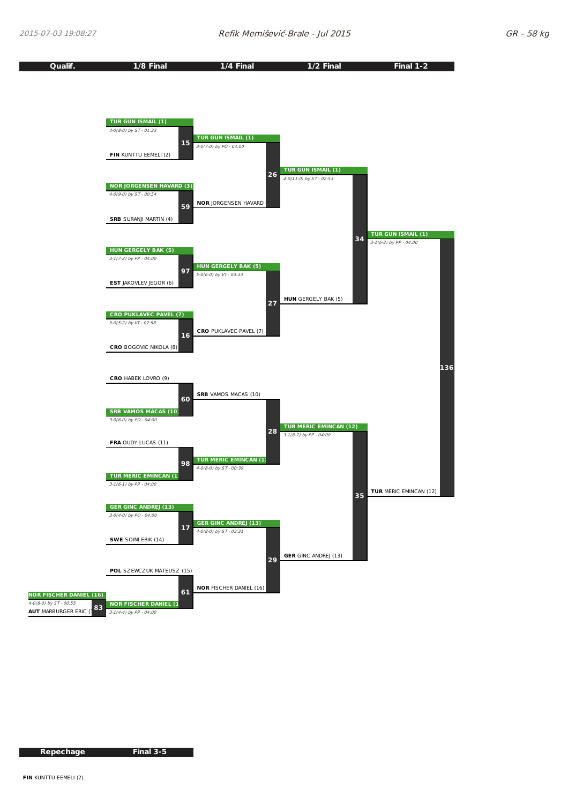

**Repechage Final 3-5**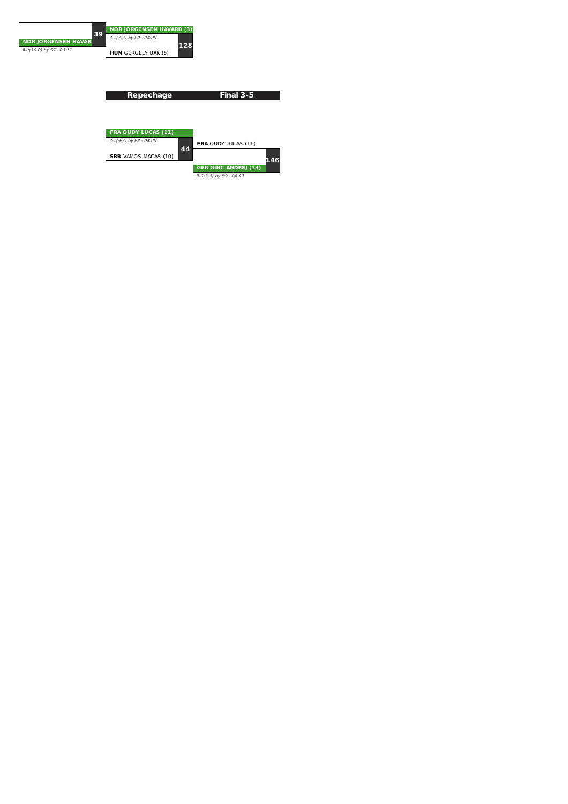

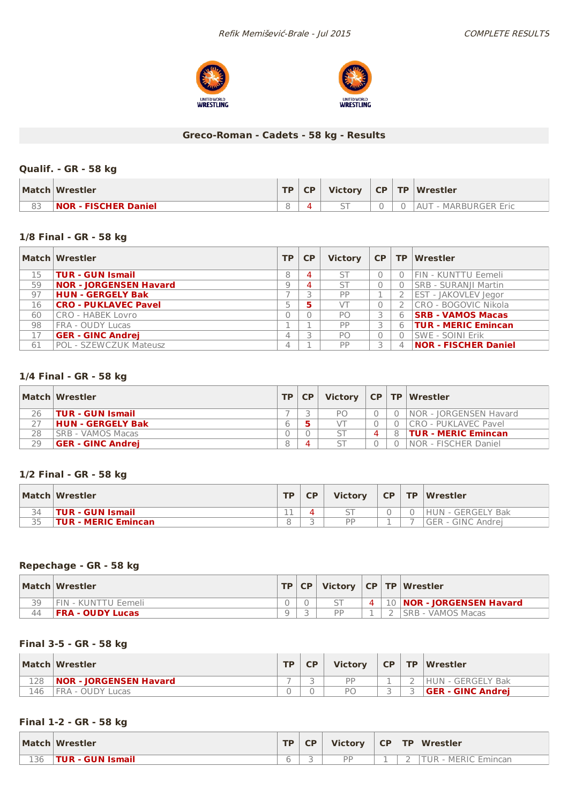



### **Greco-Roman - Cadets - 58 kg - Results**

### **Qualif. - GR - 58 kg**

|    | Match Wrestler              | TD. | CP | <b>Victory</b>           | $CP$ $TP$ | <b>Wrestler</b>                |
|----|-----------------------------|-----|----|--------------------------|-----------|--------------------------------|
| 83 | <b>NOR - FISCHER Daniel</b> |     |    | $\overline{\phantom{0}}$ |           | - MARBURGER Eric<br>$A \cup T$ |

### **1/8 Final - GR - 58 kg**

|    | Match Wrestler                | <b>TP</b> | <b>CP</b> | <b>Victory</b> | CP TP |   | Wrestler                    |
|----|-------------------------------|-----------|-----------|----------------|-------|---|-----------------------------|
| 15 | <b>TUR - GUN Ismail</b>       | 8         | 4         | ST             |       |   | FIN - KUNTTU Eemeli         |
| 59 | <b>NOR - JORGENSEN Havard</b> | 9         | 4         | ST             |       |   | <b>SRB - SURANJI Martin</b> |
| 97 | <b>HUN - GERGELY Bak</b>      |           |           | PP             |       |   | EST - JAKOVLEV Jegor        |
| 16 | <b>CRO - PUKLAVEC Pavel</b>   |           |           | VТ             |       |   | CRO - BOGOVIC Nikola        |
| 60 | CRO - HABEK Lovro             |           |           | PO             |       | 6 | <b>SRB - VAMOS Macas</b>    |
| 98 | <b>FRA - OUDY Lucas</b>       |           |           | PP             |       | 6 | <b>TUR - MERIC Emincan</b>  |
| 17 | <b>GER - GINC Andrej</b>      |           |           | PO.            |       |   | <b>SWE - SOINI Erik</b>     |
| 61 | POL - SZEWCZUK Mateusz        | 4         |           | PP             |       |   | <b>NOR - FISCHER Daniel</b> |

### **1/4 Final - GR - 58 kg**

|    | Match Wrestler           | TP | <b>CP</b> |    |   |          | Victory $ CP TP Wrestler$    |
|----|--------------------------|----|-----------|----|---|----------|------------------------------|
| 26 | TUR - GUN Ismail         |    |           | PΟ |   | $\Omega$ | NOR - JORGENSEN Havard       |
|    | HUN - GERGELY Bak        | 6  |           |    |   | $\Omega$ | ICRO - PUKLAVEC Pavel        |
| 28 | ISRB - VAMOS Macas       |    |           |    | 4 |          | 8 <b>TUR - MERIC Emincan</b> |
| 29 | <b>GER - GINC Andrei</b> |    | $\Delta$  |    |   | $\Omega$ | INOR - FISCHER Daniel        |

#### **1/2 Final - GR - 58 kg**

|    | Match Wrestler             | <b>TP</b> | СP | <b>Victory</b> | <b>CP</b> | <b>TP</b> | $\blacksquare$ Wrestler   |
|----|----------------------------|-----------|----|----------------|-----------|-----------|---------------------------|
| 34 | <b>TUR - GUN Ismail</b>    | - -       |    |                |           |           | <b>HUN - GERGELY Bak</b>  |
| 35 | <b>TUR - MERIC Emincan</b> |           |    | <b>DP</b>      |           | -         | <b>IGER - GINC Andrei</b> |

### **Repechage - GR - 58 kg**

|    | Match Wrestler              |  |  | TP CP   Victory   CP   TP   Wrestler |
|----|-----------------------------|--|--|--------------------------------------|
| 39 | <b>IFIN - KUNTTU Eemeli</b> |  |  | 4   10   NOR - JORGENSEN Havard      |
| 44 | <b>FRA - OUDY Lucas</b>     |  |  | ISRB - VAMOS Macas                   |

### **Final 3-5 - GR - 58 kg**

|     | Match Wrestler         | <b>TP</b> | <b>Victory</b>         | <b>CP</b> | TP Wrestler              |
|-----|------------------------|-----------|------------------------|-----------|--------------------------|
| 128 | NOR - JORGENSEN Havard | -         | <b>DD</b>              |           | HUN - GERGELY Bak        |
| 146 | FRA - OUDY Lucas       |           | $\mathsf{P}\mathsf{C}$ |           | <b>GER - GINC Andrej</b> |

### **Final 1-2 - GR - 58 kg**

|     | Match Wrestler   | <b>TD</b> | <b>CP</b> | <b>Victory</b> | <b>CP</b> | <b>TP</b> | Wrestler                    |
|-----|------------------|-----------|-----------|----------------|-----------|-----------|-----------------------------|
| 136 | TUR - GUN Ismail |           |           | DD             |           |           | <b>MERIC Emincan</b><br>tur |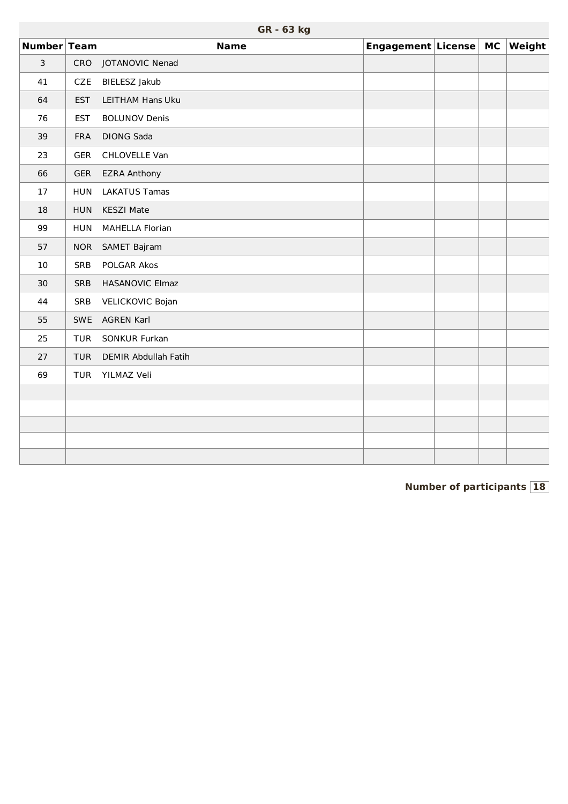|                | GR - 63 kg |                             |                       |  |  |        |  |  |
|----------------|------------|-----------------------------|-----------------------|--|--|--------|--|--|
| Number Team    |            | <b>Name</b>                 | Engagement License MC |  |  | Weight |  |  |
| $\overline{3}$ | CRO        | JOTANOVIC Nenad             |                       |  |  |        |  |  |
| 41             | <b>CZE</b> | BIELESZ Jakub               |                       |  |  |        |  |  |
| 64             | <b>EST</b> | <b>LEITHAM Hans Uku</b>     |                       |  |  |        |  |  |
| 76             | <b>EST</b> | <b>BOLUNOV Denis</b>        |                       |  |  |        |  |  |
| 39             | <b>FRA</b> | <b>DIONG Sada</b>           |                       |  |  |        |  |  |
| 23             | <b>GER</b> | CHLOVELLE Van               |                       |  |  |        |  |  |
| 66             | <b>GER</b> | <b>EZRA Anthony</b>         |                       |  |  |        |  |  |
| 17             | <b>HUN</b> | <b>LAKATUS Tamas</b>        |                       |  |  |        |  |  |
| 18             | <b>HUN</b> | <b>KESZI Mate</b>           |                       |  |  |        |  |  |
| 99             | <b>HUN</b> | <b>MAHELLA Florian</b>      |                       |  |  |        |  |  |
| 57             | <b>NOR</b> | SAMET Bajram                |                       |  |  |        |  |  |
| 10             | <b>SRB</b> | POLGAR Akos                 |                       |  |  |        |  |  |
| 30             | <b>SRB</b> | HASANOVIC Elmaz             |                       |  |  |        |  |  |
| 44             | SRB        | VELICKOVIC Bojan            |                       |  |  |        |  |  |
| 55             | <b>SWE</b> | <b>AGREN Karl</b>           |                       |  |  |        |  |  |
| 25             | <b>TUR</b> | SONKUR Furkan               |                       |  |  |        |  |  |
| 27             | <b>TUR</b> | <b>DEMIR Abdullah Fatih</b> |                       |  |  |        |  |  |
| 69             | <b>TUR</b> | YILMAZ Veli                 |                       |  |  |        |  |  |
|                |            |                             |                       |  |  |        |  |  |
|                |            |                             |                       |  |  |        |  |  |
|                |            |                             |                       |  |  |        |  |  |
|                |            |                             |                       |  |  |        |  |  |
|                |            |                             |                       |  |  |        |  |  |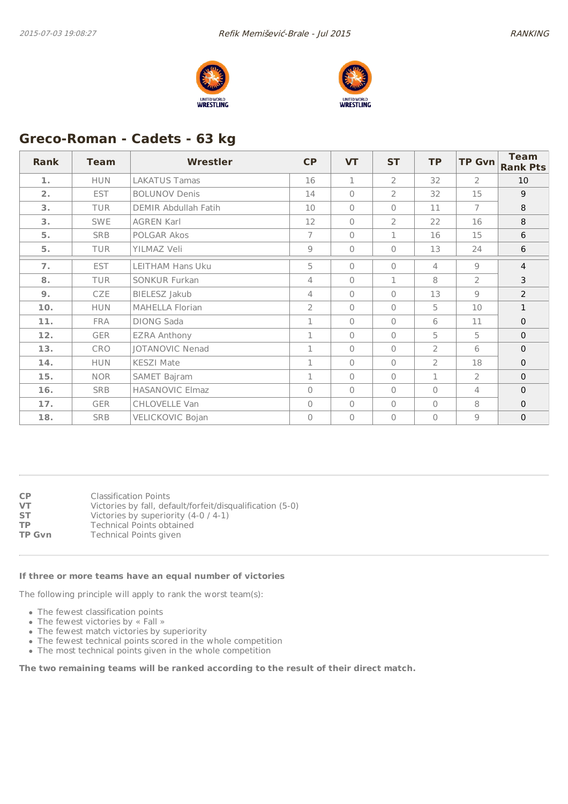



# **Greco-Roman - Cadets - 63 kg**

| <b>Rank</b>    | <b>Team</b> | Wrestler               | <b>CP</b>      | <b>VT</b>    | <b>ST</b>      | <b>TP</b>      | <b>TP Gvn</b>  | <b>Team</b><br><b>Rank Pts</b> |
|----------------|-------------|------------------------|----------------|--------------|----------------|----------------|----------------|--------------------------------|
| 1.             | <b>HUN</b>  | <b>LAKATUS Tamas</b>   | 16             | $\mathbf{1}$ | $\overline{2}$ | 32             | $\overline{2}$ | 10                             |
| 2 <sub>1</sub> | <b>EST</b>  | <b>BOLUNOV Denis</b>   | 14             | $\Omega$     | $\overline{2}$ | 32             | 15             | 9                              |
| 3.             | <b>TUR</b>  | DEMIR Abdullah Fatih   | 10             | $\bigcap$    | $\mathbf{0}$   | 11             | $\overline{7}$ | 8                              |
| 3.             | <b>SWE</b>  | <b>AGREN Karl</b>      | 12             | $\bigcap$    | $\overline{2}$ | 22             | 16             | 8                              |
| 5.             | <b>SRB</b>  | POLGAR Akos            | $\overline{7}$ | $\bigcap$    | $\mathbf{1}$   | 16             | 15             | 6                              |
| 5.             | <b>TUR</b>  | YILMAZ Veli            | 9              | $\Omega$     | $\Omega$       | 13             | 24             | 6                              |
| 7.             | <b>EST</b>  | LEITHAM Hans Uku       | 5              | $\bigcap$    | $\Omega$       | 4              | $\mathcal{Q}$  | $\overline{4}$                 |
| 8.             | <b>TUR</b>  | <b>SONKUR Furkan</b>   | $\overline{4}$ | $\Omega$     | $\mathbf{1}$   | 8              | $\overline{2}$ | 3                              |
| 9.             | <b>CZE</b>  | BIELESZ Jakub          | $\overline{4}$ | $\bigcap$    | $\Omega$       | 13             | $\overline{9}$ | $\overline{2}$                 |
| 10.            | <b>HUN</b>  | <b>MAHELLA Florian</b> | $\overline{2}$ | $\bigcap$    | $\Omega$       | 5              | 10             | $\mathbf{1}$                   |
| 11.            | <b>FRA</b>  | <b>DIONG Sada</b>      | $\mathbf{1}$   | $\bigcap$    | $\Omega$       | 6              | 11             | $\mathbf{0}$                   |
| 12.            | <b>GER</b>  | <b>EZRA Anthony</b>    | 1              | $\bigcap$    | $\Omega$       | 5              | 5              | $\mathbf 0$                    |
| 13.            | CRO         | <b>JOTANOVIC Nenad</b> | $\mathbf 1$    | $\Omega$     | $\Omega$       | $\overline{2}$ | 6              | $\mathbf 0$                    |
| 14.            | <b>HUN</b>  | <b>KESZI Mate</b>      | $\mathbf{1}$   | $\Omega$     | $\Omega$       | $\overline{2}$ | 18             | $\mathbf 0$                    |
| 15.            | <b>NOR</b>  | SAMET Bajram           | 1              | $\bigcap$    | $\Omega$       | $\mathbf 1$    | $\overline{2}$ | $\mathbf 0$                    |
| 16.            | <b>SRB</b>  | <b>HASANOVIC Elmaz</b> | $\Omega$       | $\Omega$     | $\Omega$       | $\Omega$       | 4              | $\mathbf{0}$                   |
| 17.            | <b>GER</b>  | CHLOVELLE Van          | $\Omega$       | $\Omega$     | $\Omega$       | $\Omega$       | 8              | $\Omega$                       |
| 18.            | <b>SRB</b>  | VELICKOVIC Bojan       | $\mathbf{0}$   | $\Omega$     | $\mathbf{0}$   | $\Omega$       | $\overline{9}$ | $\mathbf 0$                    |

| СP            | <b>Classification Points</b>                              |
|---------------|-----------------------------------------------------------|
| VT            | Victories by fall, default/forfeit/disqualification (5-0) |
| ST            | Victories by superiority (4-0 / 4-1)                      |
| ТP            | <b>Technical Points obtained</b>                          |
| <b>TP Gvn</b> | <b>Technical Points given</b>                             |

#### **If three or more teams have an equal number of victories**

The following principle will apply to rank the worst team(s):

- The fewest classification points
- The fewest victories by « Fall »
- The fewest match victories by superiority
- The fewest technical points scored in the whole competition
- The most technical points given in the whole competition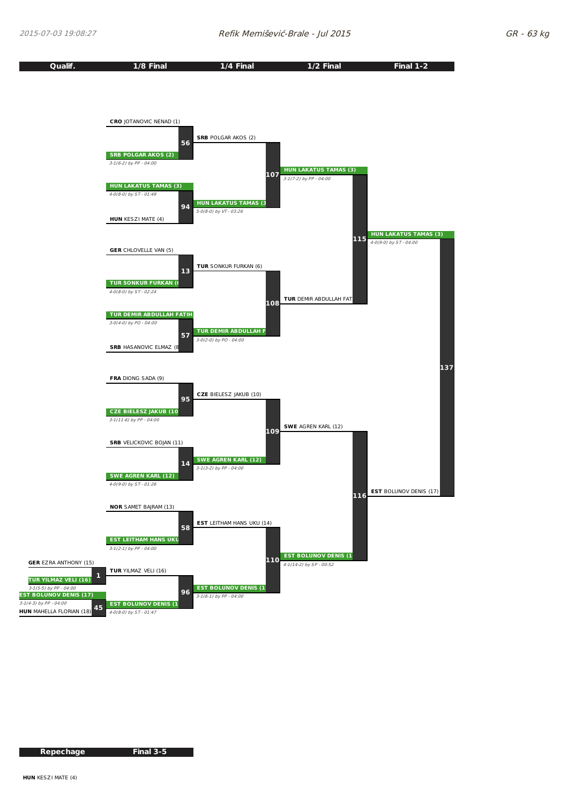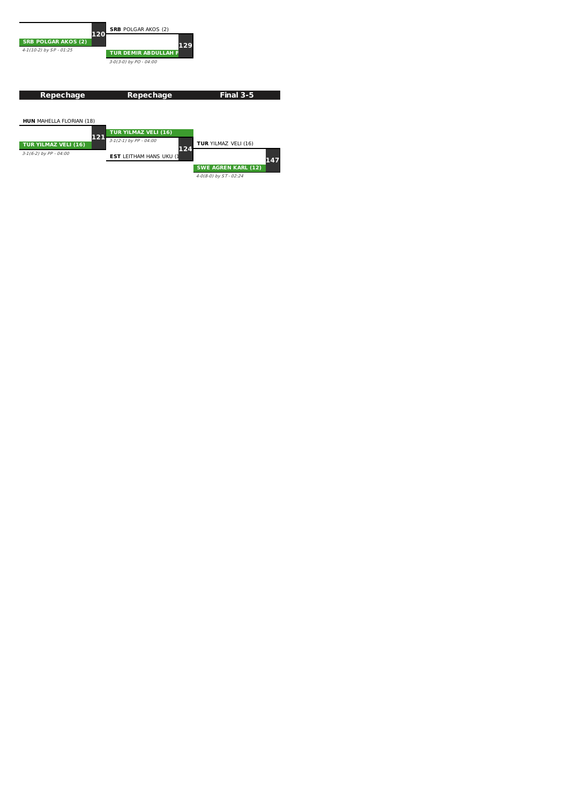

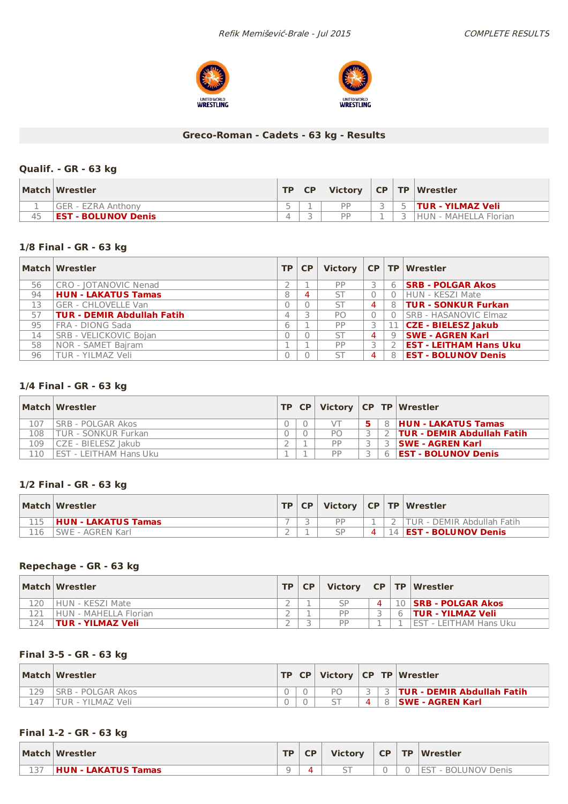



### **Greco-Roman - Cadets - 63 kg - Results**

### **Qualif. - GR - 63 kg**

|    | Match Wrestler             | TD. | <b>CP</b> | <b>Victory</b> | CP TP | Wrestler                 |
|----|----------------------------|-----|-----------|----------------|-------|--------------------------|
|    | GER - EZRA Anthony         |     |           | DD             |       | <b>TUR - YILMAZ Veli</b> |
| 45 | <b>EST - BOLUNOV Denis</b> |     |           | DD             |       | HUN - MAHELLA Florian    |

#### **1/8 Final - GR - 63 kg**

|    | Match Wrestler                    | TP | <b>CP</b> |           |    |    | Victory   CP   TP   Wrestler     |
|----|-----------------------------------|----|-----------|-----------|----|----|----------------------------------|
| 56 | <b>CRO - JOTANOVIC Nenad</b>      |    |           | PP        | 3  |    | 6 <b>SRB - POLGAR Akos</b>       |
| 94 | <b>HUN - LAKATUS Tamas</b>        | 8  |           | ST        | 0. |    | HUN - KESZI Mate                 |
| 13 | GER - CHLOVELLE Van               |    |           | <b>ST</b> | 4  |    | 8   TUR - SONKUR Furkan          |
| 57 | <b>TUR - DEMIR Abdullah Fatih</b> |    |           | PO        | 0. |    | <b>SRB - HASANOVIC Elmaz</b>     |
| 95 | FRA - DIONG Sada                  | 6  |           | PP        | 3  |    | $\boxed{11}$ CZE - BIELESZ Jakub |
| 14 | SRB - VELICKOVIC Bojan            |    |           | <b>ST</b> | 4  | 9  | <b>SWE - AGREN Karl</b>          |
| 58 | NOR - SAMET Bajram                |    |           | PP        |    |    | <b>EST - LEITHAM Hans Uku</b>    |
| 96 | TUR - YILMAZ Veli                 |    |           | <b>ST</b> | 4  | 8' | <b>EST - BOLUNOV Denis</b>       |

### **1/4 Final - GR - 63 kg**

|     | Match Wrestler             | TP CP |           |        | Victory   CP   TP   Wrestler      |
|-----|----------------------------|-------|-----------|--------|-----------------------------------|
| 107 | ISRB - POLGAR Akos         |       |           |        | 8 HUN - LAKATUS Tamas             |
| 108 | <b>TUR - SONKUR Furkan</b> |       | PO        |        | <b>TUR - DEMIR Abdullah Fatih</b> |
| 109 | CZE - BIELESZ Jakub        |       | <b>DD</b> |        | <b>SWE - AGREN Karl</b>           |
| 110 | EST - LEITHAM Hans Uku     |       | <b>DD</b> | $\sim$ | <b>EST - BOLUNOV Denis</b>        |

#### **1/2 Final - GR - 63 kg**

|     | Match Wrestler             | TP | <b>CP</b> |    |                 | Victory $ CP TP Wrestler $  |
|-----|----------------------------|----|-----------|----|-----------------|-----------------------------|
|     | <b>HUN - LAKATUS Tamas</b> |    |           | DD |                 | 'TUR - DEMIR Abdullah Fatih |
| 116 | SWE - AGREN Karl           |    |           |    | $\vert 4 \vert$ | <b>EST - BOLUNOV Denis</b>  |

### **Repechage - GR - 63 kg**

|     | Match Wrestler           | <b>TP</b> | <b>CP</b> | <b>Victory</b> |   | $\vert$ CP $\vert$ TP $\vert$ Wrestler |
|-----|--------------------------|-----------|-----------|----------------|---|----------------------------------------|
| 120 | HUN - KESZI Mate         |           |           | $\varsigma_P$  |   | 10 <b>SRB - POLGAR Akos</b>            |
|     | HUN - MAHFLLA Florian    |           |           | PP             | 6 | <b>TUR - YILMAZ Veli</b>               |
| 124 | <b>TUR - YILMAZ Veli</b> |           |           | <b>DD</b>      |   | <b>IEST - LEITHAM Hans Uku</b>         |

#### **Final 3-5 - GR - 63 kg**

|     | Match Wrestler     |  |    |  | TP   CP   Victory   CP   TP   Wrestler |
|-----|--------------------|--|----|--|----------------------------------------|
| 129 | ISRB - POLGAR Akos |  | Рſ |  | <b>3   TUR - DEMIR Abdullah Fatih</b>  |
| 147 | TUR - YILMAZ Veli  |  |    |  | <b>SWE - AGREN Karl</b>                |

### **Final 1-2 - GR - 63 kg**

|         | Match Wrestler      | <b>TP</b> | <b>CP</b> | <b>Victory</b> | CP | <b>TP</b> | Wrestler                      |
|---------|---------------------|-----------|-----------|----------------|----|-----------|-------------------------------|
| $- - -$ | HUN - LAKATUS Tamas |           |           |                |    |           | <b>FST</b><br>- BOLUNOV Denis |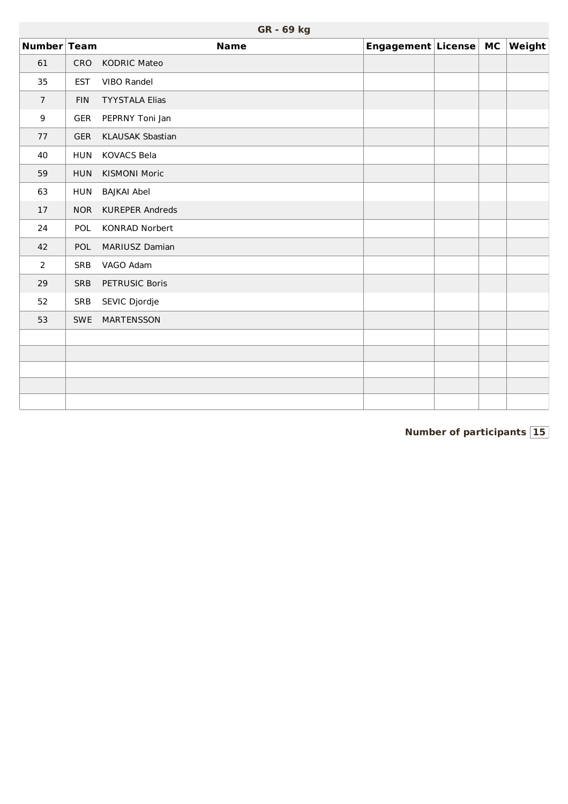|                  | GR - 69 kg |                         |                       |  |  |               |  |  |  |  |  |  |
|------------------|------------|-------------------------|-----------------------|--|--|---------------|--|--|--|--|--|--|
| Number Team      |            | <b>Name</b>             | Engagement License MC |  |  | <b>Weight</b> |  |  |  |  |  |  |
| 61               | <b>CRO</b> | <b>KODRIC Mateo</b>     |                       |  |  |               |  |  |  |  |  |  |
| 35               | <b>EST</b> | VIBO Randel             |                       |  |  |               |  |  |  |  |  |  |
| $\overline{7}$   | <b>FIN</b> | <b>TYYSTALA Elias</b>   |                       |  |  |               |  |  |  |  |  |  |
| $\boldsymbol{9}$ | <b>GER</b> | PEPRNY Toni Jan         |                       |  |  |               |  |  |  |  |  |  |
| 77               | <b>GER</b> | <b>KLAUSAK Sbastian</b> |                       |  |  |               |  |  |  |  |  |  |
| 40               | <b>HUN</b> | <b>KOVACS Bela</b>      |                       |  |  |               |  |  |  |  |  |  |
| 59               | <b>HUN</b> | <b>KISMONI Moric</b>    |                       |  |  |               |  |  |  |  |  |  |
| 63               | <b>HUN</b> | <b>BAJKAI Abel</b>      |                       |  |  |               |  |  |  |  |  |  |
| 17               | <b>NOR</b> | <b>KUREPER Andreds</b>  |                       |  |  |               |  |  |  |  |  |  |
| 24               | POL        | <b>KONRAD Norbert</b>   |                       |  |  |               |  |  |  |  |  |  |
| 42               | <b>POL</b> | MARIUSZ Damian          |                       |  |  |               |  |  |  |  |  |  |
| $\overline{2}$   | SRB        | VAGO Adam               |                       |  |  |               |  |  |  |  |  |  |
| 29               | <b>SRB</b> | PETRUSIC Boris          |                       |  |  |               |  |  |  |  |  |  |
| 52               | SRB        | SEVIC Djordje           |                       |  |  |               |  |  |  |  |  |  |
| 53               | <b>SWE</b> | <b>MARTENSSON</b>       |                       |  |  |               |  |  |  |  |  |  |
|                  |            |                         |                       |  |  |               |  |  |  |  |  |  |
|                  |            |                         |                       |  |  |               |  |  |  |  |  |  |
|                  |            |                         |                       |  |  |               |  |  |  |  |  |  |
|                  |            |                         |                       |  |  |               |  |  |  |  |  |  |
|                  |            |                         |                       |  |  |               |  |  |  |  |  |  |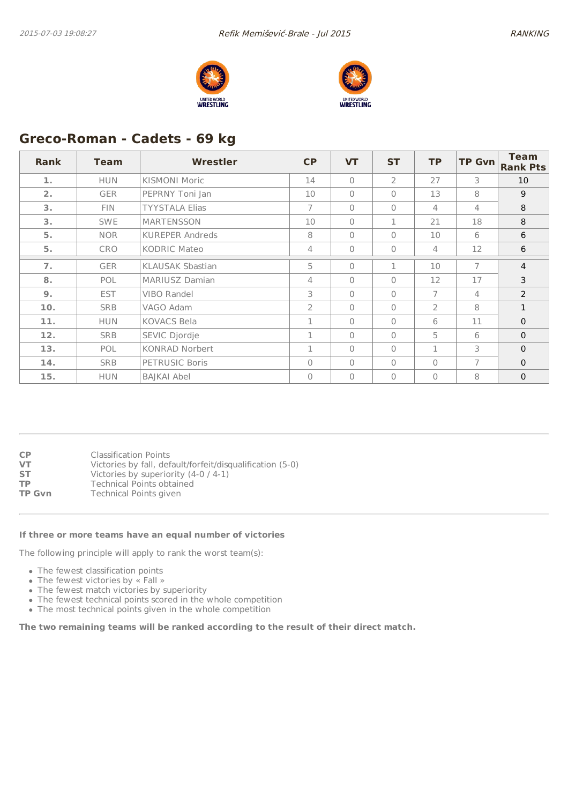



# **Greco-Roman - Cadets - 69 kg**

| <b>Rank</b> | <b>Team</b> | <b>Wrestler</b>         | CP             | <b>VT</b>      | <b>ST</b>      | <b>TP</b>      | <b>TP Gvn</b> | <b>Team</b><br><b>Rank Pts</b> |
|-------------|-------------|-------------------------|----------------|----------------|----------------|----------------|---------------|--------------------------------|
| 1.          | <b>HUN</b>  | <b>KISMONI Moric</b>    | 14             | $\bigcap$      | $\overline{2}$ | 27             | 3             | 10                             |
| 2.          | <b>GER</b>  | PEPRNY Toni Jan         | 10             | $\bigcap$      | $\mathbf{0}$   | 13             | 8             | 9                              |
| 3.          | <b>FIN</b>  | <b>TYYSTALA Elias</b>   | $\overline{7}$ | $\bigcap$      | $\Omega$       | 4              | 4             | 8                              |
| 3.          | <b>SWE</b>  | MARTENSSON              | 10             | $\Omega$       | 1              | 21             | 18            | 8                              |
| 5.          | <b>NOR</b>  | <b>KUREPER Andreds</b>  | 8              | $\Omega$       | $\mathbf{0}$   | 10             | 6             | 6                              |
| 5.          | <b>CRO</b>  | <b>KODRIC Mateo</b>     | 4              | $\Omega$       | $\mathbf{0}$   | $\overline{4}$ | 12            | 6                              |
| 7.          | <b>GER</b>  | <b>KLAUSAK Sbastian</b> | 5              | $\bigcap$      | 1              | 10             | 7             | $\overline{4}$                 |
| 8.          | <b>POL</b>  | <b>MARIUSZ Damian</b>   | 4              | $\overline{0}$ | $\mathbf{0}$   | 12             | 17            | 3                              |
| 9.          | <b>EST</b>  | VIBO Randel             | 3              | $\bigcap$      | $\Omega$       | $\overline{7}$ | 4             | $\overline{2}$                 |
| 10.         | <b>SRB</b>  | VAGO Adam               | $\overline{2}$ | $\bigcap$      | $\mathbf{0}$   | $\overline{2}$ | 8             | $\mathbf{1}$                   |
| 11.         | <b>HUN</b>  | <b>KOVACS Bela</b>      | $\mathbf{1}$   | $\bigcap$      | $\Omega$       | 6              | 11            | $\mathbf{0}$                   |
| 12.         | <b>SRB</b>  | SEVIC Djordje           | 1              | $\Omega$       | $\mathbf{0}$   | 5              | 6             | $\mathbf 0$                    |
| 13.         | <b>POL</b>  | KONRAD Norbert          | 1              | $\bigcap$      | $\mathbf{0}$   | 1              | 3             | $\mathbf 0$                    |
| 14.         | <b>SRB</b>  | PETRUSIC Boris          | $\mathbf{0}$   | $\bigcap$      | $\bigcap$      | $\Omega$       | 7             | $\mathbf{0}$                   |
| 15.         | <b>HUN</b>  | <b>BAJKAI Abel</b>      | $\Omega$       | $\overline{0}$ | 0              | $\Omega$       | 8             | $\mathbf 0$                    |

| <b>CP</b>     | <b>Classification Points</b>                              |
|---------------|-----------------------------------------------------------|
| <b>VT</b>     | Victories by fall, default/forfeit/disqualification (5-0) |
| <b>ST</b>     | Victories by superiority (4-0 / 4-1)                      |
| <b>TP</b>     | <b>Technical Points obtained</b>                          |
| <b>TP Gvn</b> | Technical Points given                                    |
|               |                                                           |

#### **If three or more teams have an equal number of victories**

The following principle will apply to rank the worst team(s):

- The fewest classification points
- The fewest victories by « Fall »
- The fewest match victories by superiority
- The fewest technical points scored in the whole competition
- The most technical points given in the whole competition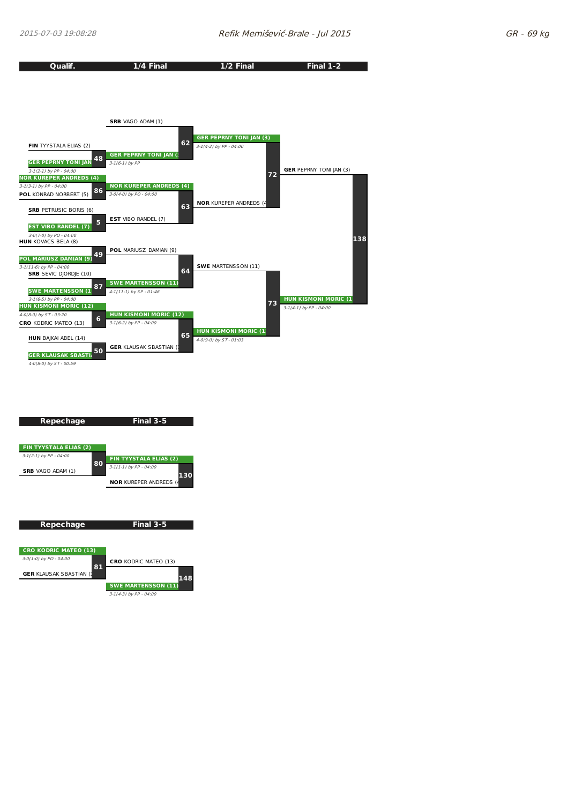

| FIN TYYSTALA ELIAS (2)         |                                       |
|--------------------------------|---------------------------------------|
| 3-1(2-1) by PP - 04:00         | FIN TYYSTALA ELIAS (2)                |
| <b>SRB</b> VAGO ADAM (1)       | 80<br>$3-1(1-1)$ by PP - 04:00<br>130 |
|                                | <b>NOR KUREPER ANDREDS (4</b>         |
|                                |                                       |
|                                |                                       |
|                                |                                       |
| Repechage                      | Final 3-5                             |
|                                |                                       |
| <b>CRO KODRIC MATEO (13)</b>   |                                       |
| 3-0(1-0) by PO - 04:00         |                                       |
|                                | <b>CRO</b> KODRIC MATEO (13)<br>81    |
| <b>GER KLAUSAK SBASTIAN (1</b> | 148                                   |
|                                |                                       |

3-1(4-3) by PP - 04:00

**Final 3-5**

**Repechage**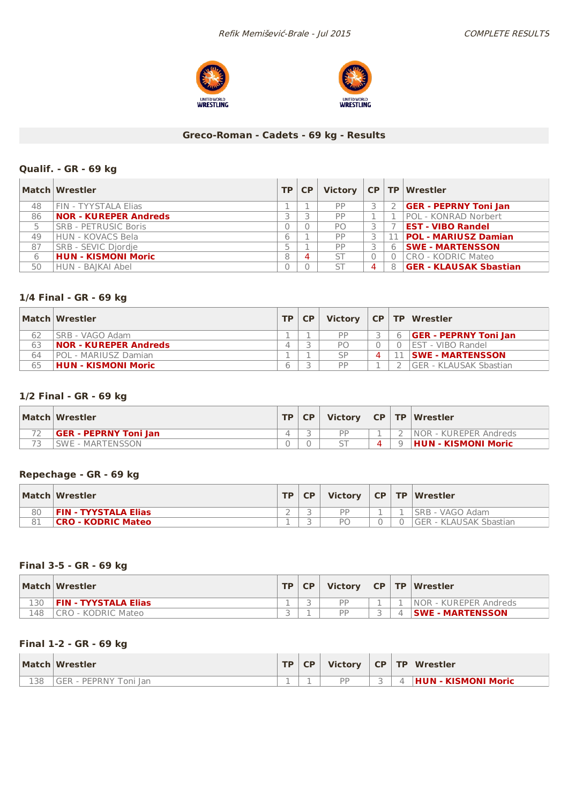



# **Greco-Roman - Cadets - 69 kg - Results**

### **Qualif. - GR - 69 kg**

|    | Match Wrestler               |   | TP   CP |     |   |   | Victory CP TP Wrestler        |
|----|------------------------------|---|---------|-----|---|---|-------------------------------|
| 48 | FIN - TYYSTALA Elias         |   |         | PP  |   |   | <b>GER - PEPRNY Toni Jan</b>  |
| 86 | <b>NOR - KUREPER Andreds</b> |   |         | PP  |   |   | <b>POL - KONRAD Norbert</b>   |
| 5  | <b>SRB - PETRUSIC Boris</b>  | O |         | PO. |   |   | <b>EST - VIBO Randel</b>      |
| 49 | HUN - KOVACS Bela            | 6 |         | PP  |   |   | <b>POL - MARIUSZ Damian</b>   |
| 87 | SRB - SEVIC Djordje          |   |         | PP  | 3 | 6 | <b>SWE - MARTENSSON</b>       |
| 6  | <b>HUN - KISMONI Moric</b>   | 8 | 4       | ST  | 0 |   | CRO - KODRIC Mateo            |
| 50 | HUN - BAIKAI Abel            | 0 |         | ST  | 4 | 8 | <b>GER - KLAUSAK Sbastian</b> |

### **1/4 Final - GR - 69 kg**

|    | Match Wrestler               | <b>TP</b> | <b>CP</b> | <b>Victory</b> |  | CP   TP   Wrestler             |
|----|------------------------------|-----------|-----------|----------------|--|--------------------------------|
| 62 | ISRB - VAGO Adam             |           |           | PP             |  | <b>GER - PEPRNY Toni Jan</b>   |
| 63 | <b>NOR - KUREPER Andreds</b> | $\Delta$  |           | P <sub>O</sub> |  | <b>IEST - VIBO Randel</b>      |
| 64 | POL - MARIUSZ Damian         |           |           | SP             |  | <b>⊥ ∣SWE - MARTENSSON</b>     |
| 65 | HUN - KISMONI Moric          | 6         |           | PP             |  | <b>IGER - KLAUSAK Sbastian</b> |

## **1/2 Final - GR - 69 kg**

| Match Wrestler               | TP | CP. |           |   | Victory   CP   TP   Wrestler |
|------------------------------|----|-----|-----------|---|------------------------------|
| <b>GER - PEPRNY Toni Jan</b> |    |     | <b>DD</b> |   | INOR - KUREPER Andreds       |
| SWE - MARTENSSON             |    |     |           | Q | <b>HUN - KISMONI Moric</b>   |

#### **Repechage - GR - 69 kg**

|    | Match Wrestler            | TD. |           |  | Victory   CP   TP   Wrestler |
|----|---------------------------|-----|-----------|--|------------------------------|
| 80 | FIN - TYYSTALA Elias      |     | <b>DD</b> |  | ISRB - VAGO Adam             |
| 81 | <b>CRO - KODRIC Mateo</b> |     | РC        |  | GER - KLAUSAK Sbastian       |

### **Final 3-5 - GR - 69 kg**

|     | Match Wrestler       | <b>TP</b> | <b>CP</b> | <b>Victory</b> |  | CP   TP   Wrestler      |
|-----|----------------------|-----------|-----------|----------------|--|-------------------------|
| 130 | FIN - TYYSTALA Elias |           |           | <b>DD</b>      |  | INOR - KUREPER Andreds  |
| 148 | I CRO - KODRIC Mateo |           |           | DD             |  | <b>SWE - MARTENSSON</b> |

### **Final 1-2 - GR - 69 kg**

|     | Match Wrestler                    | TD. | <b>CP</b> | <b>Victory</b> | $CP$ $TP$ | Wrestler            |
|-----|-----------------------------------|-----|-----------|----------------|-----------|---------------------|
| 138 | <b>GER - PEPRNY T</b><br>Foni Ian |     |           | <b>DD</b>      |           | HUN - KISMONI Moric |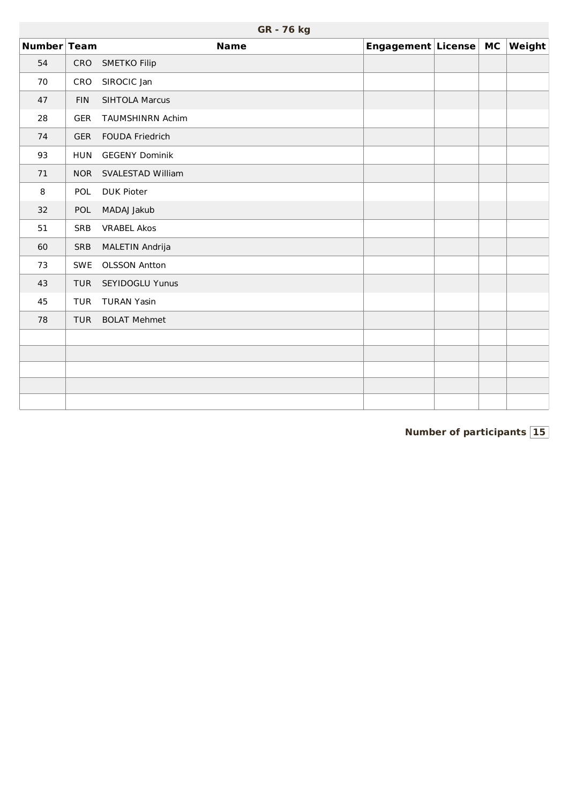|             | GR - 76 kg |                         |                       |  |  |               |  |  |  |  |  |  |  |
|-------------|------------|-------------------------|-----------------------|--|--|---------------|--|--|--|--|--|--|--|
| Number Team |            | <b>Name</b>             | Engagement License MC |  |  | <b>Weight</b> |  |  |  |  |  |  |  |
| 54          | CRO        | <b>SMETKO Filip</b>     |                       |  |  |               |  |  |  |  |  |  |  |
| 70          | CRO        | SIROCIC Jan             |                       |  |  |               |  |  |  |  |  |  |  |
| 47          | <b>FIN</b> | <b>SIHTOLA Marcus</b>   |                       |  |  |               |  |  |  |  |  |  |  |
| 28          | <b>GER</b> | <b>TAUMSHINRN Achim</b> |                       |  |  |               |  |  |  |  |  |  |  |
| 74          | <b>GER</b> | <b>FOUDA Friedrich</b>  |                       |  |  |               |  |  |  |  |  |  |  |
| 93          | <b>HUN</b> | <b>GEGENY Dominik</b>   |                       |  |  |               |  |  |  |  |  |  |  |
| 71          | <b>NOR</b> | SVALESTAD William       |                       |  |  |               |  |  |  |  |  |  |  |
| 8           | POL        | <b>DUK Pioter</b>       |                       |  |  |               |  |  |  |  |  |  |  |
| 32          | POL        | MADAJ Jakub             |                       |  |  |               |  |  |  |  |  |  |  |
| 51          | <b>SRB</b> | <b>VRABEL Akos</b>      |                       |  |  |               |  |  |  |  |  |  |  |
| 60          | SRB        | MALETIN Andrija         |                       |  |  |               |  |  |  |  |  |  |  |
| 73          | SWE        | <b>OLSSON Antton</b>    |                       |  |  |               |  |  |  |  |  |  |  |
| 43          | <b>TUR</b> | SEYIDOGLU Yunus         |                       |  |  |               |  |  |  |  |  |  |  |
| 45          | <b>TUR</b> | <b>TURAN Yasin</b>      |                       |  |  |               |  |  |  |  |  |  |  |
| 78          | <b>TUR</b> | <b>BOLAT Mehmet</b>     |                       |  |  |               |  |  |  |  |  |  |  |
|             |            |                         |                       |  |  |               |  |  |  |  |  |  |  |
|             |            |                         |                       |  |  |               |  |  |  |  |  |  |  |
|             |            |                         |                       |  |  |               |  |  |  |  |  |  |  |
|             |            |                         |                       |  |  |               |  |  |  |  |  |  |  |
|             |            |                         |                       |  |  |               |  |  |  |  |  |  |  |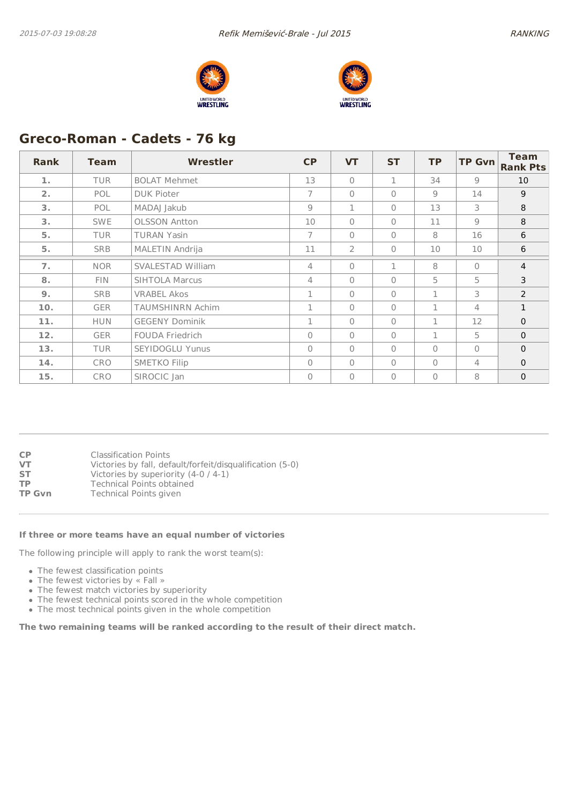



# **Greco-Roman - Cadets - 76 kg**

| <b>Rank</b> | <b>Team</b> | <b>Wrestler</b>         | <b>CP</b>      | <b>VT</b>      | <b>ST</b>    | <b>TP</b> | <b>TP Gvn</b>  | <b>Team</b><br><b>Rank Pts</b> |
|-------------|-------------|-------------------------|----------------|----------------|--------------|-----------|----------------|--------------------------------|
| 1.          | <b>TUR</b>  | <b>BOLAT Mehmet</b>     | 13             | $\bigcap$      | 1            | 34        | 9              | 10                             |
| 2.          | <b>POL</b>  | <b>DUK Pioter</b>       | $\overline{7}$ | $\Omega$       | $\mathbf{0}$ | 9         | 14             | 9                              |
| 3.          | POL         | MADAJ Jakub             | 9              | $\mathbf{1}$   | $\bigcap$    | 13        | 3              | 8                              |
| 3.          | <b>SWE</b>  | <b>OLSSON Antton</b>    | 10             | $\Omega$       | $\mathbf{0}$ | 11        | 9              | 8                              |
| 5.          | <b>TUR</b>  | <b>TURAN Yasin</b>      | $\overline{7}$ | $\Omega$       | $\mathbf{0}$ | 8         | 16             | 6                              |
| 5.          | <b>SRB</b>  | MALETIN Andrija         | 11             | $\overline{2}$ | $\mathbf{0}$ | 10        | 10             | 6                              |
| 7.          | <b>NOR</b>  | SVALESTAD William       | 4              | $\bigcap$      | 1            | 8         | $\bigcap$      | $\overline{4}$                 |
| 8.          | FIN.        | <b>SIHTOLA Marcus</b>   | 4              | $\Omega$       | $\mathbf{0}$ | 5         | 5              | 3                              |
| 9.          | <b>SRB</b>  | <b>VRABEL Akos</b>      | 1              | $\bigcap$      | $\bigcap$    | 1         | 3              | 2                              |
| 10.         | <b>GER</b>  | <b>TAUMSHINRN Achim</b> | 1              | $\Omega$       | $\mathbf{0}$ | 1         | 4              | $\mathbf{1}$                   |
| 11.         | <b>HUN</b>  | <b>GEGENY Dominik</b>   | $\mathbf{1}$   | $\bigcap$      | $\mathbf{0}$ | 1         | 12             | $\Omega$                       |
| 12.         | <b>GER</b>  | <b>FOUDA Friedrich</b>  | $\mathbf{0}$   | $\Omega$       | $\mathbf{0}$ | 1         | 5              | $\mathbf{0}$                   |
| 13.         | <b>TUR</b>  | <b>SEYIDOGLU Yunus</b>  | $\mathbf{0}$   | $\Omega$       | $\mathbf{0}$ | $\Omega$  | $\mathbf{0}$   | $\mathbf 0$                    |
| 14.         | <b>CRO</b>  | <b>SMETKO Filip</b>     | $\mathbf{0}$   | $\bigcap$      | $\Omega$     | $\Omega$  | $\overline{4}$ | $\mathbf{0}$                   |
| 15.         | <b>CRO</b>  | SIROCIC Jan             | 0              | $\Omega$       | $\mathbf{0}$ | $\Omega$  | 8              | $\mathbf 0$                    |

| <b>CP</b>     | <b>Classification Points</b>                              |
|---------------|-----------------------------------------------------------|
| <b>VT</b>     | Victories by fall, default/forfeit/disqualification (5-0) |
| <b>ST</b>     | Victories by superiority (4-0 / 4-1)                      |
| <b>TP</b>     | <b>Technical Points obtained</b>                          |
| <b>TP Gvn</b> | <b>Technical Points given</b>                             |
|               |                                                           |

#### **If three or more teams have an equal number of victories**

The following principle will apply to rank the worst team(s):

- The fewest classification points
- The fewest victories by « Fall »
- The fewest match victories by superiority
- The fewest technical points scored in the whole competition
- The most technical points given in the whole competition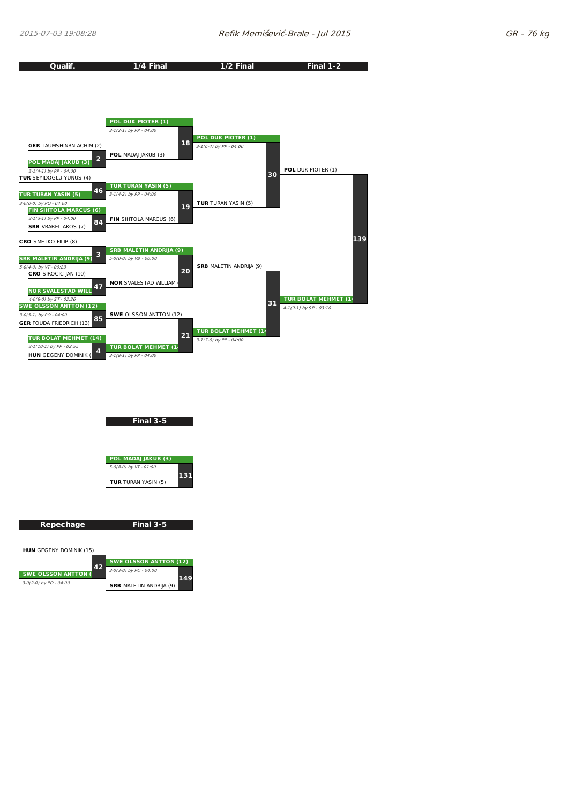



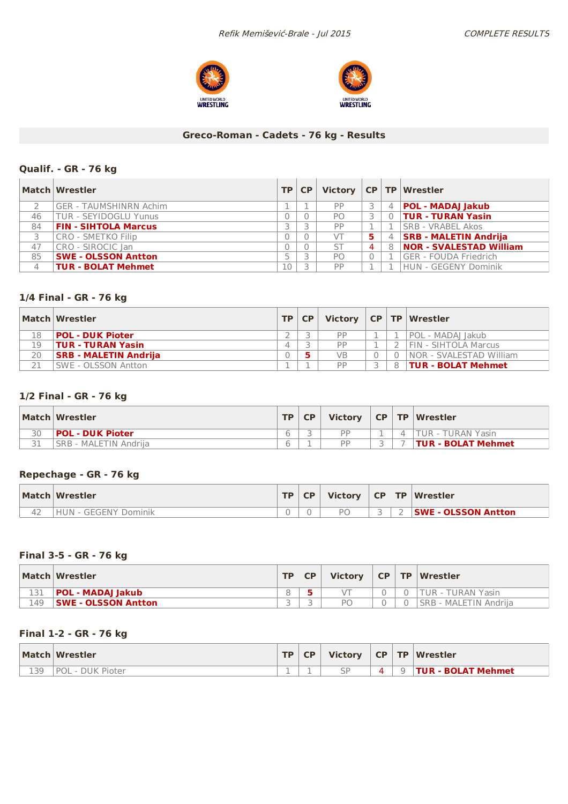



## **Greco-Roman - Cadets - 76 kg - Results**

### **Qualif. - GR - 76 kg**

|    | Match Wrestler               | <b>TP</b> | <b>CP</b> |                |                |                | Victory   CP   TP   Wrestler   |
|----|------------------------------|-----------|-----------|----------------|----------------|----------------|--------------------------------|
|    | GER - TAUMSHINRN Achim       |           |           | PP             |                | $\overline{4}$ | <b>POL - MADAJ Jakub</b>       |
| 46 | <b>TUR - SEYIDOGLU Yunus</b> |           |           | PO.            |                |                | 0   TUR - TURAN Yasin          |
| 84 | <b>FIN - SIHTOLA Marcus</b>  |           |           | PP             |                |                | <b>ISRB - VRABEL Akos</b>      |
| 3  | CRO - SMETKO Filip           |           |           | VТ             | 5.             | $\overline{4}$ | <b>SRB - MALETIN Andrija</b>   |
| 47 | CRO - SIROCIC Jan            |           |           | <b>ST</b>      | $\overline{4}$ | -8             | <b>NOR - SVALESTAD William</b> |
| 85 | <b>SWE - OLSSON Antton</b>   |           |           | P <sub>O</sub> | 0              |                | <b>GER - FOUDA Friedrich</b>   |
| 4  | <b>TUR - BOLAT Mehmet</b>    | 10        |           | PP             |                |                | HUN - GEGENY Dominik           |

### **1/4 Final - GR - 76 kg**

|    | Match Wrestler               | $TP$ $CP$ |           |               | Victory $ CP TP Wrestler$ |
|----|------------------------------|-----------|-----------|---------------|---------------------------|
| 18 | <b>POL - DUK Pioter</b>      |           | <b>DD</b> |               | POL - MADAI Jakub         |
| 19 | <b>TUR - TURAN Yasin</b>     |           | <b>PP</b> |               | FIN - SIHTOLA Marcus      |
| 20 | <b>SRB - MALETIN Andrija</b> |           | VB        | $\Omega$      | INOR - SVALESTAD William  |
| 71 | <b>SWE - OLSSON Antton</b>   |           | <b>PP</b> | $\mathcal{R}$ | <b>TUR - BOLAT Mehmet</b> |

## **1/2 Final - GR - 76 kg**

|    | Match Wrestler          | TD. | <b>Victory</b> |  | CP TP Wrestler            |
|----|-------------------------|-----|----------------|--|---------------------------|
| 30 | <b>POL - DUK Pioter</b> |     | <b>DD</b>      |  | <b>TUR - TURAN Yasin</b>  |
| 31 | SRB - MALETIN Andrija   |     | <b>DD</b>      |  | <b>TUR - BOLAT Mehmet</b> |

#### **Repechage - GR - 76 kg**

|    | Match Wrestler                    | <b>TP</b> | CP |    |  | Victory $\vert$ CP $\vert$ TP $\vert$ Wrestler |
|----|-----------------------------------|-----------|----|----|--|------------------------------------------------|
| 42 | <b>GEGENY Dominik</b><br>$H$ in - |           |    | РC |  | <b>SWE - OLSSON Antton</b>                     |

### **Final 3-5 - GR - 76 kg**

|     | Match Wrestler             | TD. | <b>CP</b> | <b>Victory</b> |  | CP TP Wrestler               |
|-----|----------------------------|-----|-----------|----------------|--|------------------------------|
|     | <b>POL - MADAJ Jakub</b>   |     |           |                |  | <b>ITUR - TURAN Yasin</b>    |
| 149 | <b>SWE - OLSSON Antton</b> |     |           | РC             |  | <b>SRB - MALETIN Andrija</b> |

### **Final 1-2 - GR - 76 kg**

|            | Match Wrestler   | TD. | <b>CP</b> | Victory       | $CP$ $TP$ |          | Wrestler           |
|------------|------------------|-----|-----------|---------------|-----------|----------|--------------------|
| 130<br>ᅩJJ | POL - DUK Pioter |     |           | $\subseteq P$ | Λ         | $\Omega$ | TUR - BOLAT Mehmet |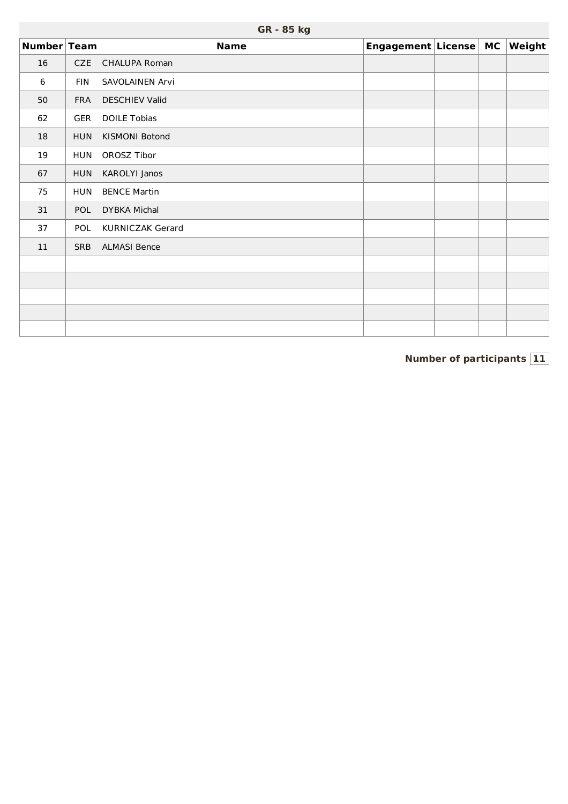|             |            | GR - 85 kg              |                       |  |        |
|-------------|------------|-------------------------|-----------------------|--|--------|
| Number Team |            | <b>Name</b>             | Engagement License MC |  | Weight |
| 16          | CZE        | <b>CHALUPA Roman</b>    |                       |  |        |
| 6           | <b>FIN</b> | SAVOLAINEN Arvi         |                       |  |        |
| 50          | <b>FRA</b> | <b>DESCHIEV Valid</b>   |                       |  |        |
| 62          | <b>GER</b> | <b>DOILE Tobias</b>     |                       |  |        |
| 18          | <b>HUN</b> | KISMONI Botond          |                       |  |        |
| 19          | <b>HUN</b> | OROSZ Tibor             |                       |  |        |
| 67          | <b>HUN</b> | KAROLYI Janos           |                       |  |        |
| 75          | <b>HUN</b> | <b>BENCE Martin</b>     |                       |  |        |
| 31          | POL        | <b>DYBKA Michal</b>     |                       |  |        |
| 37          | POL        | <b>KURNICZAK Gerard</b> |                       |  |        |
| 11          | <b>SRB</b> | <b>ALMASI Bence</b>     |                       |  |        |
|             |            |                         |                       |  |        |
|             |            |                         |                       |  |        |
|             |            |                         |                       |  |        |
|             |            |                         |                       |  |        |
|             |            |                         |                       |  |        |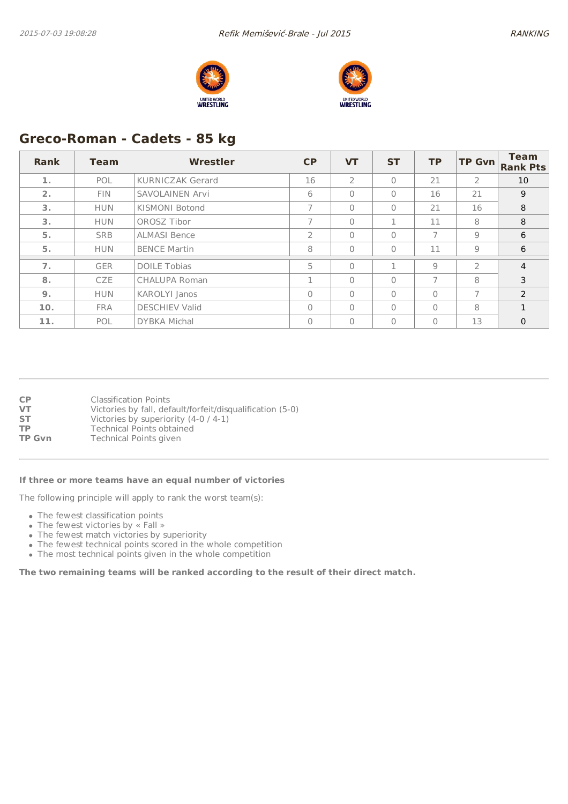



# **Greco-Roman - Cadets - 85 kg**

| Rank | <b>Team</b> | Wrestler                | CP             | <b>VT</b>      | <b>ST</b>    | <b>TP</b>      | <b>TP Gvn</b>  | <b>Team</b><br><b>Rank Pts</b> |
|------|-------------|-------------------------|----------------|----------------|--------------|----------------|----------------|--------------------------------|
| 1.   | POL         | <b>KURNICZAK Gerard</b> | 16             | $\overline{2}$ | $\Omega$     | 21             | $\overline{2}$ | 10                             |
| 2.   | <b>FIN</b>  | <b>SAVOLAINEN Arvi</b>  | 6              | $\Omega$       | $\Omega$     | 16             | 21             | 9                              |
| 3.   | <b>HUN</b>  | KISMONI Botond          |                | $\Omega$       | $\mathbf{0}$ | 21             | 16             | 8                              |
| 3.   | <b>HUN</b>  | OROSZ Tibor             |                | $\mathbf{0}$   | 1            | 11             | 8              | 8                              |
| 5.   | <b>SRB</b>  | <b>ALMASI Bence</b>     | $\overline{2}$ | $\Omega$       | $\mathbf{0}$ | $\overline{7}$ | 9              | 6                              |
| 5.   | <b>HUN</b>  | <b>BENCE Martin</b>     | 8              | $\Omega$       | $\Omega$     | 11             | 9              | 6                              |
| 7.   | <b>GER</b>  | <b>DOILE Tobias</b>     | 5              | $\Omega$       | п            | 9              | $\overline{2}$ | $\overline{4}$                 |
| 8.   | <b>CZE</b>  | <b>CHALUPA Roman</b>    | п.             | $\Omega$       | $\Omega$     | $\overline{7}$ | 8              | 3                              |
| 9.   | <b>HUN</b>  | KAROLYI Janos           | $\Omega$       | $\Omega$       | $\Omega$     | $\Omega$       | 7              | $\mathcal{P}$                  |
| 10.  | <b>FRA</b>  | <b>DESCHIEV Valid</b>   | $\Omega$       | $\Omega$       | $\Omega$     | $\Omega$       | 8              | $\mathbf{1}$                   |
| 11.  | POL         | <b>DYBKA Michal</b>     | 0              | $\Omega$       | $\Omega$     | $\Omega$       | 13             | $\mathbf{0}$                   |

| СP            | <b>Classification Points</b>                              |
|---------------|-----------------------------------------------------------|
| VT            | Victories by fall, default/forfeit/disqualification (5-0) |
| SΤ            | Victories by superiority (4-0 / 4-1)                      |
| ТP            | <b>Technical Points obtained</b>                          |
| <b>TP Gvn</b> | <b>Technical Points given</b>                             |
|               |                                                           |

#### **If three or more teams have an equal number of victories**

The following principle will apply to rank the worst team(s):

- The fewest classification points
- The fewest victories by « Fall »
- The fewest match victories by superiority
- The fewest technical points scored in the whole competition
- The most technical points given in the whole competition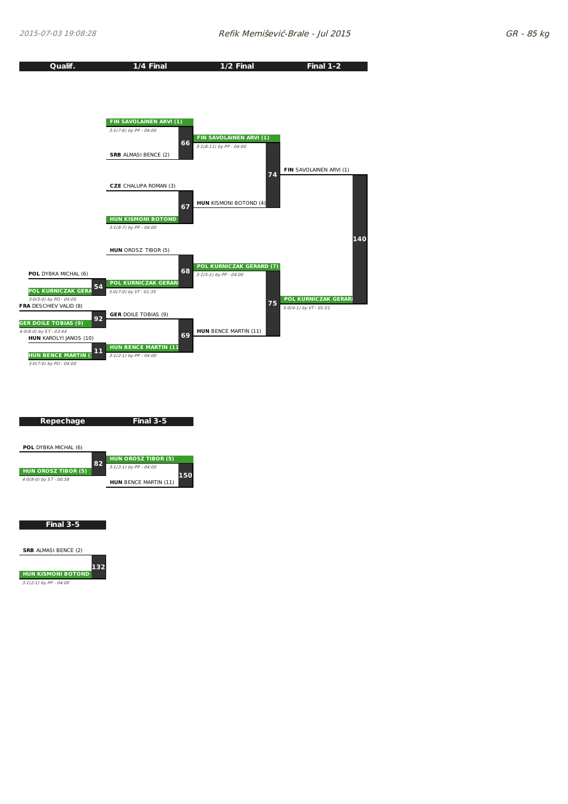

**SRB** ALMASI BENCE (2) **HUN KISMONI BOTOND (4) 132**

3-1(2-1) by PP - 04:00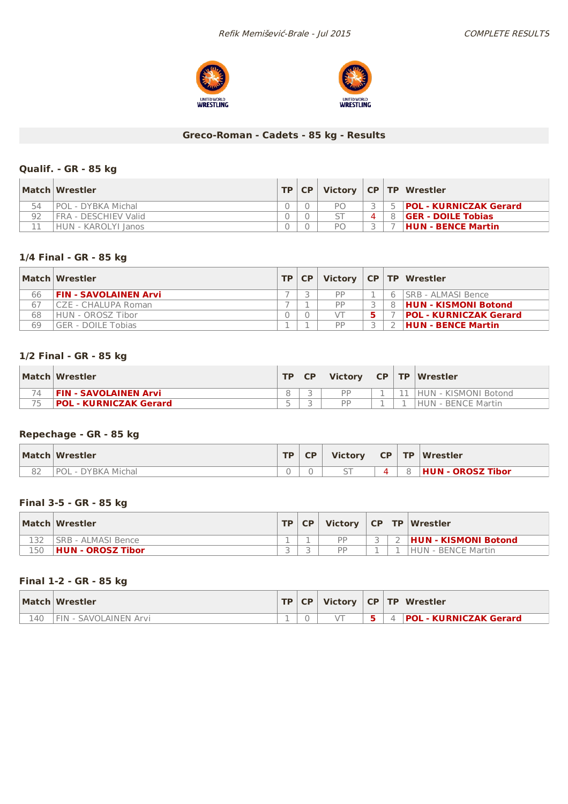



## **Greco-Roman - Cadets - 85 kg - Results**

### **Qualif. - GR - 85 kg**

|    | Match Wrestler             |  |    |  | TP CP Victory CP TP Wrestler  |
|----|----------------------------|--|----|--|-------------------------------|
| 54 | POL - DYBKA Michal         |  | PΛ |  | <b>POL - KURNICZAK Gerard</b> |
| 92 | FRA - DESCHIEV Valid       |  |    |  | <b>GER - DOILE Tobias</b>     |
|    | <b>HUN - KAROLYI Janos</b> |  | PΛ |  | <b>HUN - BENCE Martin</b>     |

### **1/4 Final - GR - 85 kg**

|    | Match Wrestler               | TP   CP |    |  | Victory   CP   TP   Wrestler  |
|----|------------------------------|---------|----|--|-------------------------------|
| 66 | <b>FIN - SAVOLAINEN Arvi</b> |         | DD |  | 6   SRB - ALMASI Bence        |
| 67 | CZE - CHALUPA Roman          |         | DD |  | 8 HUN - KISMONI Botond        |
| 68 | HUN - OROSZ Tibor            |         |    |  | <b>POL - KURNICZAK Gerard</b> |
| 69 | GER - DOILE Tobias           |         | DD |  | <b>HUN - BENCE Martin</b>     |

### **1/2 Final - GR - 85 kg**

|    | Match Wrestler                | TP                       | <b>Victory</b> | <b>CP</b> | $\blacksquare$ | Wrestler             |
|----|-------------------------------|--------------------------|----------------|-----------|----------------|----------------------|
|    | FIN - SAVOLAINEN Arvi         |                          | <b>DD</b>      |           |                | HUN - KISMONI Botond |
| 75 | <b>POL - KURNICZAK Gerard</b> | $\overline{\phantom{a}}$ | <b>DD</b>      |           |                | HUN - BENCE Martin   |

#### **Repechage - GR - 85 kg**

|    | Match Wrestler        | <b>TD</b> | <b>Victory</b>           | <b>CP</b> | <b>TP</b> | Wrestler          |
|----|-----------------------|-----------|--------------------------|-----------|-----------|-------------------|
| oΖ | - DYBKA Michal<br>POL |           | $\overline{\phantom{0}}$ |           |           | HUN - OROSZ Tibor |

### **Final 3-5 - GR - 85 kg**

|     | Match Wrestler     | TD. | CP | Victory   |  | CP   TP   Wrestler          |
|-----|--------------------|-----|----|-----------|--|-----------------------------|
|     | SRB - ALMASI Bence |     |    | <b>DD</b> |  | <b>HUN - KISMONI Botond</b> |
| 150 | HUN - OROSZ Tibor  |     |    | <b>DD</b> |  | <b>HUN - BENCE Martin</b>   |

### **Final 1-2 - GR - 85 kg**

|     | Match Wrestler             | TP | <b>CP</b> |  | Victory   CP   TP   Wrestler  |
|-----|----------------------------|----|-----------|--|-------------------------------|
| ⊥40 | $FIN -$<br>SAVOLAINEN Arvi |    |           |  | <b>POL - KURNICZAK Gerard</b> |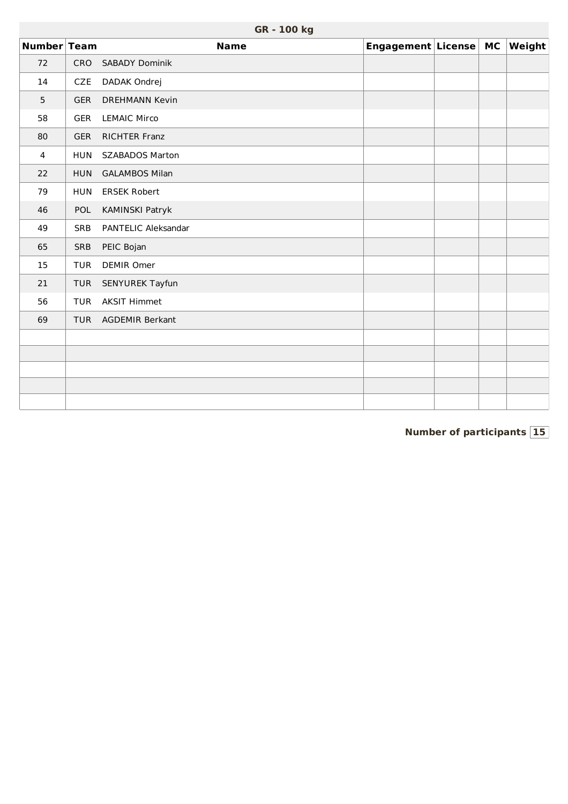|                |            | GR - 100 kg            |                       |  |               |
|----------------|------------|------------------------|-----------------------|--|---------------|
| Number Team    |            | <b>Name</b>            | Engagement License MC |  | <b>Weight</b> |
| 72             | CRO        | <b>SABADY Dominik</b>  |                       |  |               |
| 14             | CZE        | DADAK Ondrej           |                       |  |               |
| $5\phantom{.}$ | <b>GER</b> | <b>DREHMANN Kevin</b>  |                       |  |               |
| 58             | GER        | <b>LEMAIC Mirco</b>    |                       |  |               |
| 80             | <b>GER</b> | RICHTER Franz          |                       |  |               |
| $\overline{4}$ | <b>HUN</b> | <b>SZABADOS Marton</b> |                       |  |               |
| 22             | <b>HUN</b> | <b>GALAMBOS Milan</b>  |                       |  |               |
| 79             | <b>HUN</b> | <b>ERSEK Robert</b>    |                       |  |               |
| 46             | POL        | KAMINSKI Patryk        |                       |  |               |
| 49             | <b>SRB</b> | PANTELIC Aleksandar    |                       |  |               |
| 65             | SRB        | PEIC Bojan             |                       |  |               |
| 15             | <b>TUR</b> | <b>DEMIR Omer</b>      |                       |  |               |
| 21             | <b>TUR</b> | SENYUREK Tayfun        |                       |  |               |
| 56             | TUR        | <b>AKSIT Himmet</b>    |                       |  |               |
| 69             | <b>TUR</b> | AGDEMIR Berkant        |                       |  |               |
|                |            |                        |                       |  |               |
|                |            |                        |                       |  |               |
|                |            |                        |                       |  |               |
|                |            |                        |                       |  |               |
|                |            |                        |                       |  |               |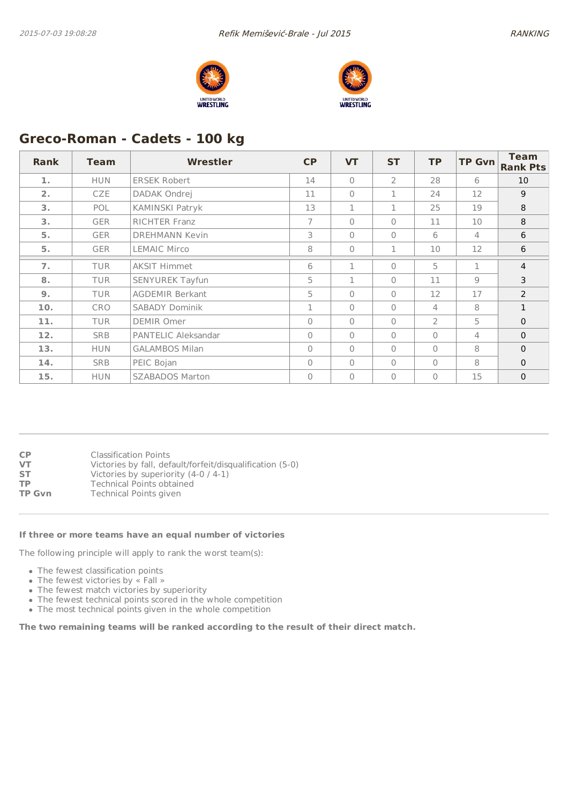



# **Greco-Roman - Cadets - 100 kg**

| <b>Rank</b>    | <b>Team</b> | Wrestler               | <b>CP</b>    | <b>VT</b>      | <b>ST</b>      | <b>TP</b>      | <b>TP Gvn</b>  | <b>Team</b><br><b>Rank Pts</b> |
|----------------|-------------|------------------------|--------------|----------------|----------------|----------------|----------------|--------------------------------|
| 1.             | <b>HUN</b>  | <b>ERSEK Robert</b>    | 14           | $\bigcap$      | $\overline{2}$ | 28             | 6              | 10                             |
| 2.             | CZE         | DADAK Ondrej           | 11           | $\bigcap$      | 1              | 24             | 12             | 9                              |
| 3.             | POL         | KAMINSKI Patryk        | 13           | $\mathbf{1}$   | 1              | 25             | 19             | 8                              |
| 3.             | <b>GER</b>  | <b>RICHTER Franz</b>   | 7            | $\bigcap$      | $\mathbf{0}$   | 11             | 10             | 8                              |
| 5.             | <b>GER</b>  | <b>DREHMANN Kevin</b>  | 3            | $\Omega$       | $\mathbf{0}$   | 6              | 4              | 6                              |
| 5.             | <b>GER</b>  | <b>LEMAIC Mirco</b>    | 8            | $\overline{0}$ | 1              | 10             | 12             | 6                              |
| 7 <sub>1</sub> | <b>TUR</b>  | <b>AKSIT Himmet</b>    | 6            | $\mathbf{1}$   | $\Omega$       | 5              | 1              | $\overline{4}$                 |
| 8.             | <b>TUR</b>  | SENYUREK Tayfun        | 5            | $\mathbf{1}$   | $\mathbf{0}$   | 11             | $\overline{9}$ | 3                              |
| 9.             | <b>TUR</b>  | <b>AGDEMIR Berkant</b> | 5            | $\bigcap$      | $\bigcap$      | 12             | 17             | $\overline{2}$                 |
| 10.            | <b>CRO</b>  | SABADY Dominik         | 1            | $\overline{0}$ | $\mathbf{0}$   | 4              | 8              | $\mathbf{1}$                   |
| 11.            | <b>TUR</b>  | <b>DEMIR Omer</b>      | $\Omega$     | $\bigcap$      | $\mathbf{0}$   | $\overline{2}$ | 5              | $\mathbf 0$                    |
| 12.            | <b>SRB</b>  | PANTELIC Aleksandar    | $\mathbf{0}$ | $\overline{0}$ | $\mathbf{0}$   | $\Omega$       | 4              | $\mathbf 0$                    |
| 13.            | <b>HUN</b>  | <b>GALAMBOS Milan</b>  | $\Omega$     | $\bigcap$      | $\Omega$       | $\Omega$       | 8              | $\mathbf{0}$                   |
| 14.            | <b>SRB</b>  | PEIC Bojan             | $\mathbf{0}$ | $\bigcap$      | $\Omega$       | $\Omega$       | 8              | $\mathbf 0$                    |
| 15.            | <b>HUN</b>  | <b>SZABADOS Marton</b> | $\Omega$     | $\overline{0}$ | $\Omega$       | $\Omega$       | 15             | $\mathbf 0$                    |

| <b>CP</b>     | <b>Classification Points</b>                              |
|---------------|-----------------------------------------------------------|
| VT            | Victories by fall, default/forfeit/disqualification (5-0) |
| <b>ST</b>     | Victories by superiority (4-0 / 4-1)                      |
| ТP            | <b>Technical Points obtained</b>                          |
| <b>TP Gvn</b> | Technical Points given                                    |
|               |                                                           |

#### **If three or more teams have an equal number of victories**

The following principle will apply to rank the worst team(s):

- The fewest classification points
- The fewest victories by « Fall »
- The fewest match victories by superiority
- The fewest technical points scored in the whole competition
- The most technical points given in the whole competition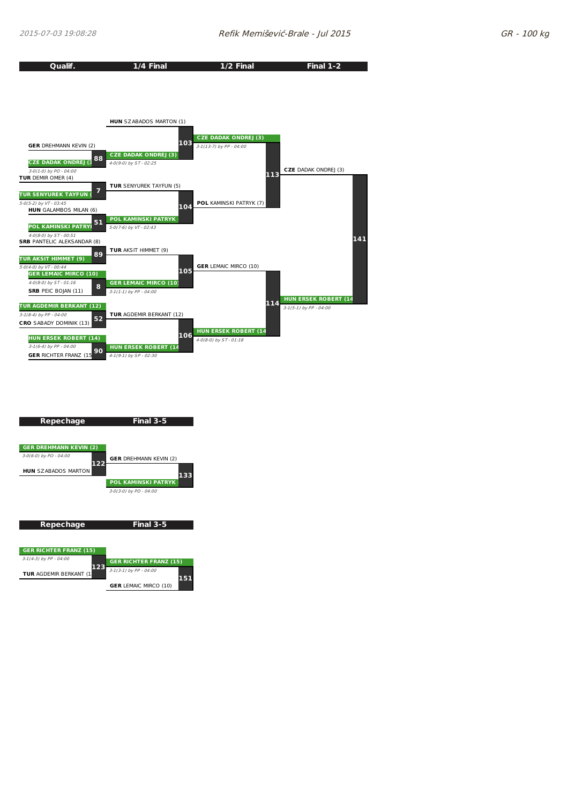



**GER** LEMAIC MIRCO (10)